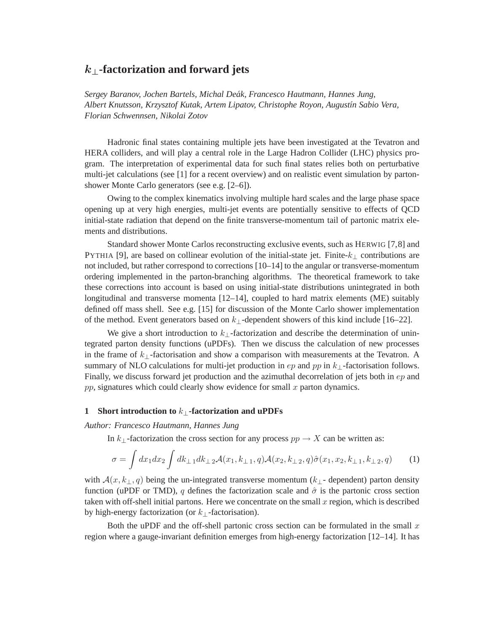# k⊥**-factorization and forward jets**

*Sergey Baranov, Jochen Bartels, Michal Deak, Francesco Hautmann, Hannes Jung, ´ Albert Knutsson, Krzysztof Kutak, Artem Lipatov, Christophe Royon, August´ın Sabio Vera, Florian Schwennsen, Nikolai Zotov*

Hadronic final states containing multiple jets have been investigated at the Tevatron and HERA colliders, and will play a central role in the Large Hadron Collider (LHC) physics program. The interpretation of experimental data for such final states relies both on perturbative multi-jet calculations (see [1] for a recent overview) and on realistic event simulation by partonshower Monte Carlo generators (see e.g. [2–6]).

Owing to the complex kinematics involving multiple hard scales and the large phase space opening up at very high energies, multi-jet events are potentially sensitive to effects of QCD initial-state radiation that depend on the finite transverse-momentum tail of partonic matrix elements and distributions.

Standard shower Monte Carlos reconstructing exclusive events, such as HERWIG [7,8] and PYTHIA [9], are based on collinear evolution of the initial-state jet. Finite- $k_{\perp}$  contributions are not included, but rather correspond to corrections [10–14] to the angular or transverse-momentum ordering implemented in the parton-branching algorithms. The theoretical framework to take these corrections into account is based on using initial-state distributions unintegrated in both longitudinal and transverse momenta [12–14], coupled to hard matrix elements (ME) suitably defined off mass shell. See e.g. [15] for discussion of the Monte Carlo shower implementation of the method. Event generators based on  $k_{\perp}$ -dependent showers of this kind include [16–22].

We give a short introduction to  $k_{\perp}$ -factorization and describe the determination of unintegrated parton density functions (uPDFs). Then we discuss the calculation of new processes in the frame of  $k_{\perp}$ -factorisation and show a comparison with measurements at the Tevatron. A summary of NLO calculations for multi-jet production in  $ep$  and  $pp$  in  $k_{\perp}$ -factorisation follows. Finally, we discuss forward jet production and the azimuthal decorrelation of jets both in  $ep$  and  $pp$ , signatures which could clearly show evidence for small  $x$  parton dynamics.

#### **1 Short introduction to** k⊥**-factorization and uPDFs**

*Author: Francesco Hautmann, Hannes Jung*

In k⊥-factorization the cross section for any process  $pp \rightarrow X$  can be written as:

$$
\sigma = \int dx_1 dx_2 \int dk_{\perp 1} dk_{\perp 2} \mathcal{A}(x_1, k_{\perp 1}, q) \mathcal{A}(x_2, k_{\perp 2}, q) \hat{\sigma}(x_1, x_2, k_{\perp 1}, k_{\perp 2}, q) \tag{1}
$$

with  $\mathcal{A}(x,k_{\perp},q)$  being the un-integrated transverse momentum ( $k_{\perp}$ - dependent) parton density function (uPDF or TMD), q defines the factorization scale and  $\hat{\sigma}$  is the partonic cross section taken with off-shell initial partons. Here we concentrate on the small  $x$  region, which is described by high-energy factorization (or  $k_{\perp}$ -factorisation).

Both the uPDF and the off-shell partonic cross section can be formulated in the small  $x$ region where a gauge-invariant definition emerges from high-energy factorization [12–14]. It has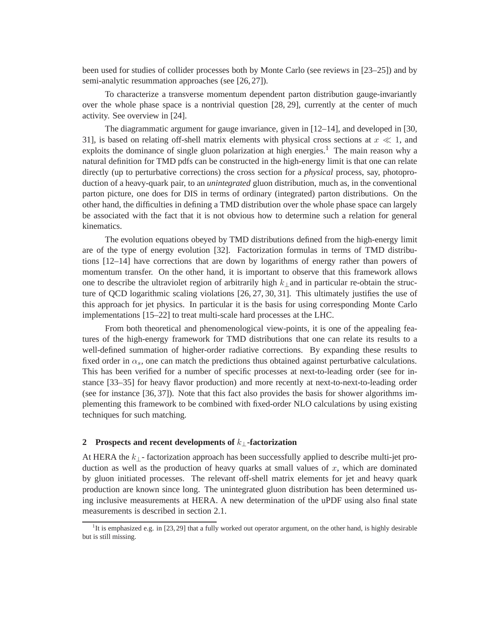been used for studies of collider processes both by Monte Carlo (see reviews in [23–25]) and by semi-analytic resummation approaches (see [26, 27]).

To characterize a transverse momentum dependent parton distribution gauge-invariantly over the whole phase space is a nontrivial question [28, 29], currently at the center of much activity. See overview in [24].

The diagrammatic argument for gauge invariance, given in [12–14], and developed in [30, 31], is based on relating off-shell matrix elements with physical cross sections at  $x \ll 1$ , and exploits the dominance of single gluon polarization at high energies.<sup>1</sup> The main reason why a natural definition for TMD pdfs can be constructed in the high-energy limit is that one can relate directly (up to perturbative corrections) the cross section for a *physical* process, say, photoproduction of a heavy-quark pair, to an *unintegrated* gluon distribution, much as, in the conventional parton picture, one does for DIS in terms of ordinary (integrated) parton distributions. On the other hand, the difficulties in defining a TMD distribution over the whole phase space can largely be associated with the fact that it is not obvious how to determine such a relation for general kinematics.

The evolution equations obeyed by TMD distributions defined from the high-energy limit are of the type of energy evolution [32]. Factorization formulas in terms of TMD distributions [12–14] have corrections that are down by logarithms of energy rather than powers of momentum transfer. On the other hand, it is important to observe that this framework allows one to describe the ultraviolet region of arbitrarily high  $k_1$  and in particular re-obtain the structure of QCD logarithmic scaling violations [26, 27, 30, 31]. This ultimately justifies the use of this approach for jet physics. In particular it is the basis for using corresponding Monte Carlo implementations [15–22] to treat multi-scale hard processes at the LHC.

From both theoretical and phenomenological view-points, it is one of the appealing features of the high-energy framework for TMD distributions that one can relate its results to a well-defined summation of higher-order radiative corrections. By expanding these results to fixed order in  $\alpha_s$ , one can match the predictions thus obtained against perturbative calculations. This has been verified for a number of specific processes at next-to-leading order (see for instance [33–35] for heavy flavor production) and more recently at next-to-next-to-leading order (see for instance [36, 37]). Note that this fact also provides the basis for shower algorithms implementing this framework to be combined with fixed-order NLO calculations by using existing techniques for such matching.

## **2 Prospects and recent developments of** k⊥**-factorization**

At HERA the  $k_{\perp}$ - factorization approach has been successfully applied to describe multi-jet production as well as the production of heavy quarks at small values of  $x$ , which are dominated by gluon initiated processes. The relevant off-shell matrix elements for jet and heavy quark production are known since long. The unintegrated gluon distribution has been determined using inclusive measurements at HERA. A new determination of the uPDF using also final state measurements is described in section 2.1.

<sup>&</sup>lt;sup>1</sup>It is emphasized e.g. in [23, 29] that a fully worked out operator argument, on the other hand, is highly desirable but is still missing.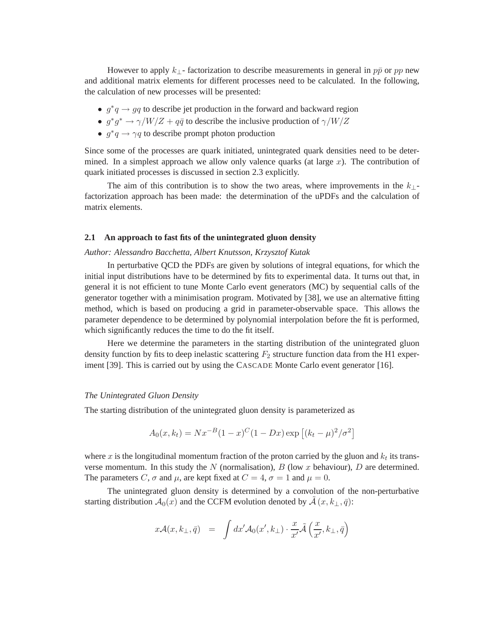However to apply  $k_{\perp}$ - factorization to describe measurements in general in  $p\bar{p}$  or  $pp$  new and additional matrix elements for different processes need to be calculated. In the following, the calculation of new processes will be presented:

- $g^*q \rightarrow qq$  to describe jet production in the forward and backward region
- $g^*g^* \to \gamma/W/Z + q\bar{q}$  to describe the inclusive production of  $\gamma/W/Z$
- $g^*q \to \gamma q$  to describe prompt photon production

Since some of the processes are quark initiated, unintegrated quark densities need to be determined. In a simplest approach we allow only valence quarks (at large  $x$ ). The contribution of quark initiated processes is discussed in section 2.3 explicitly.

The aim of this contribution is to show the two areas, where improvements in the  $k_{\perp}$ factorization approach has been made: the determination of the uPDFs and the calculation of matrix elements.

### **2.1 An approach to fast fits of the unintegrated gluon density**

## *Author: Alessandro Bacchetta, Albert Knutsson, Krzysztof Kutak*

In perturbative QCD the PDFs are given by solutions of integral equations, for which the initial input distributions have to be determined by fits to experimental data. It turns out that, in general it is not efficient to tune Monte Carlo event generators (MC) by sequential calls of the generator together with a minimisation program. Motivated by [38], we use an alternative fitting method, which is based on producing a grid in parameter-observable space. This allows the parameter dependence to be determined by polynomial interpolation before the fit is performed, which significantly reduces the time to do the fit itself.

Here we determine the parameters in the starting distribution of the unintegrated gluon density function by fits to deep inelastic scattering  $F_2$  structure function data from the H1 experiment [39]. This is carried out by using the CASCADE Monte Carlo event generator [16].

### *The Unintegrated Gluon Density*

The starting distribution of the unintegrated gluon density is parameterized as

$$
A_0(x, k_t) = Nx^{-B}(1-x)^{C}(1-Dx)\exp [(k_t - \mu)^2/\sigma^2]
$$

where x is the longitudinal momentum fraction of the proton carried by the gluon and  $k_t$  its transverse momentum. In this study the N (normalisation),  $B$  (low x behaviour),  $D$  are determined. The parameters C,  $\sigma$  and  $\mu$ , are kept fixed at  $C = 4$ ,  $\sigma = 1$  and  $\mu = 0$ .

The unintegrated gluon density is determined by a convolution of the non-perturbative starting distribution  $\mathcal{A}_0(x)$  and the CCFM evolution denoted by  $\mathcal{A}(x, k_\perp, \bar{q})$ :

$$
x\mathcal{A}(x,k_{\perp},\bar{q}) = \int dx' \mathcal{A}_0(x',k_{\perp}) \cdot \frac{x}{x'} \tilde{\mathcal{A}}\left(\frac{x}{x'},k_{\perp},\bar{q}\right)
$$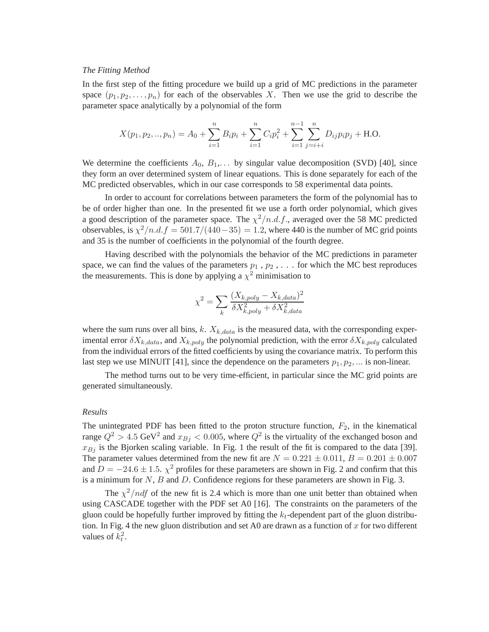## *The Fitting Method*

In the first step of the fitting procedure we build up a grid of MC predictions in the parameter space  $(p_1, p_2, \ldots, p_n)$  for each of the observables X. Then we use the grid to describe the parameter space analytically by a polynomial of the form

$$
X(p_1, p_2, ..., p_n) = A_0 + \sum_{i=1}^n B_i p_i + \sum_{i=1}^n C_i p_i^2 + \sum_{i=1}^{n-1} \sum_{j=i+i}^n D_{ij} p_i p_j + \text{H.O.}
$$

We determine the coefficients  $A_0, B_1, \ldots$  by singular value decomposition (SVD) [40], since they form an over determined system of linear equations. This is done separately for each of the MC predicted observables, which in our case corresponds to 58 experimental data points.

In order to account for correlations between parameters the form of the polynomial has to be of order higher than one. In the presented fit we use a forth order polynomial, which gives a good description of the parameter space. The  $\chi^2/n.d.f.$ , averaged over the 58 MC predicted observables, is  $\chi^2/n.d.f = 501.7/(440-35) = 1.2$ , where 440 is the number of MC grid points and 35 is the number of coefficients in the polynomial of the fourth degree.

Having described with the polynomials the behavior of the MC predictions in parameter space, we can find the values of the parameters  $p_1$ ,  $p_2$ , ... for which the MC best reproduces the measurements. This is done by applying a  $\chi^2$  minimisation to

$$
\chi^2 = \sum_{k} \frac{(X_{k,poly} - X_{k,data})^2}{\delta X_{k,poly}^2 + \delta X_{k,data}^2}
$$

where the sum runs over all bins, k.  $X_{k,data}$  is the measured data, with the corresponding experimental error  $\delta X_{k,data}$ , and  $X_{k,poly}$  the polynomial prediction, with the error  $\delta X_{k,poly}$  calculated from the individual errors of the fitted coefficients by using the covariance matrix. To perform this last step we use MINUIT [41], since the dependence on the parameters  $p_1, p_2, \dots$  is non-linear.

The method turns out to be very time-efficient, in particular since the MC grid points are generated simultaneously.

#### *Results*

The unintegrated PDF has been fitted to the proton structure function,  $F_2$ , in the kinematical range  $Q^2 > 4.5$  GeV<sup>2</sup> and  $x_{Bj} < 0.005$ , where  $Q^2$  is the virtuality of the exchanged boson and  $x_{Bj}$  is the Bjorken scaling variable. In Fig. 1 the result of the fit is compared to the data [39]. The parameter values determined from the new fit are  $N = 0.221 \pm 0.011$ ,  $B = 0.201 \pm 0.007$ and  $D = -24.6 \pm 1.5$ .  $\chi^2$  profiles for these parameters are shown in Fig. 2 and confirm that this is a minimum for  $N$ ,  $B$  and  $D$ . Confidence regions for these parameters are shown in Fig. 3.

The  $\chi^2/ndf$  of the new fit is 2.4 which is more than one unit better than obtained when using CASCADE together with the PDF set A0 [16]. The constraints on the parameters of the gluon could be hopefully further improved by fitting the  $k_t$ -dependent part of the gluon distribution. In Fig. 4 the new gluon distribution and set A0 are drawn as a function of x for two different values of  $k_t^2$ .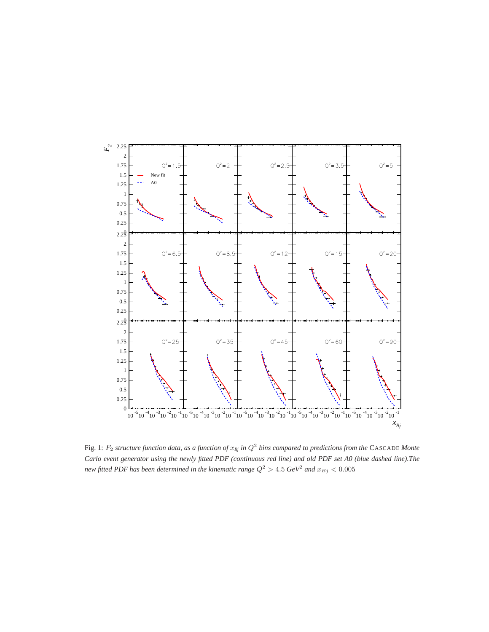

Fig. 1:  $F_2$  structure function data, as a function of  $x_{Bj}$  in  $Q^2$  bins compared to predictions from the CASCADE Monte *Carlo event generator using the newly fitted PDF (continuous red line) and old PDF set A0 (blue dashed line).The new fitted PDF has been determined in the kinematic range*  $Q^2 > 4.5$   $GeV^2$  and  $x_{Bj} < 0.005$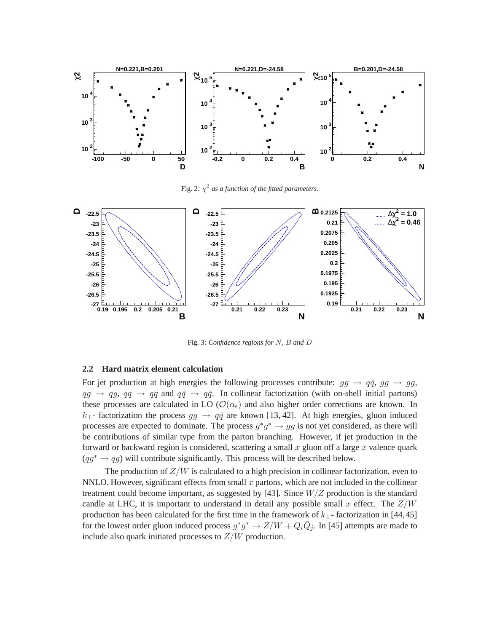

Fig. 2:  $\chi^2$  as a function of the fitted parameters.



Fig. 3: *Confidence regions for* N*,* B *and* D

## **2.2 Hard matrix element calculation**

For jet production at high energies the following processes contribute:  $gg \to q\bar{q}$ ,  $gg \to gg$ ,  $qg \rightarrow qg$ ,  $qq \rightarrow qq$  and  $q\bar{q} \rightarrow q\bar{q}$ . In collinear factorization (with on-shell initial partons) these processes are calculated in LO ( $\mathcal{O}(\alpha_s)$ ) and also higher order corrections are known. In  $k_{\perp}$ - factorization the process  $gg \to q\bar{q}$  are known [13, 42]. At high energies, gluon induced processes are expected to dominate. The process  $g^*g^* \to gg$  is not yet considered, as there will be contributions of similar type from the parton branching. However, if jet production in the forward or backward region is considered, scattering a small  $x$  gluon off a large  $x$  valence quark  $(qg^* \rightarrow qg)$  will contribute significantly. This process will be described below.

The production of  $Z/W$  is calculated to a high precision in collinear factorization, even to NNLO. However, significant effects from small  $x$  partons, which are not included in the collinear treatment could become important, as suggested by [43]. Since  $W/Z$  production is the standard candle at LHC, it is important to understand in detail any possible small x effect. The  $Z/W$ production has been calculated for the first time in the framework of  $k_{\perp}$ -factorization in [44,45] for the lowest order gluon induced process  $g^*g^* \to Z/W + Q_i\overline{Q}_j$ . In [45] attempts are made to include also quark initiated processes to  $Z/W$  production.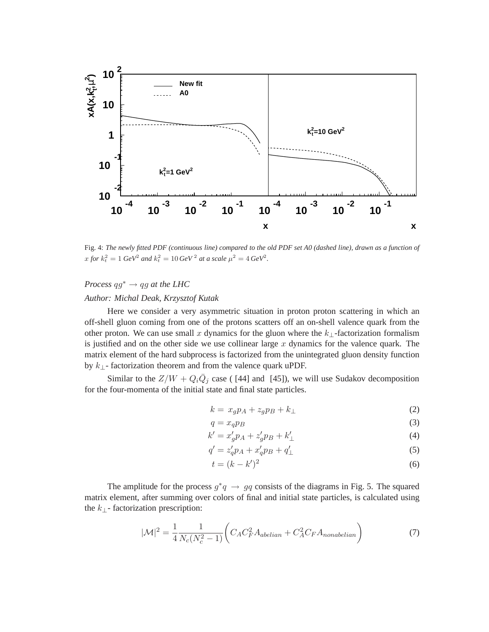

Fig. 4: *The newly fitted PDF (continuous line) compared to the old PDF set A0 (dashed line), drawn as a function of*  $x$  *for*  $k_t^2 = 1$  *GeV*<sup>2</sup> *and*  $k_t^2 = 10$  *GeV*<sup>2</sup> *at a scale*  $\mu^2 = 4$  *GeV*<sup>2</sup>.

## *Process*  $qg^* \rightarrow qg$  *at the LHC*

## *Author: Michal Deak, Krzysztof Kutak*

Here we consider a very asymmetric situation in proton proton scattering in which an off-shell gluon coming from one of the protons scatters off an on-shell valence quark from the other proton. We can use small x dynamics for the gluon where the  $k_{\perp}$ -factorization formalism is justified and on the other side we use collinear large  $x$  dynamics for the valence quark. The matrix element of the hard subprocess is factorized from the unintegrated gluon density function by  $k_{\perp}$ - factorization theorem and from the valence quark uPDF.

Similar to the  $Z/W + Q_i \overline{Q}_j$  case ([44] and [45]), we will use Sudakov decomposition for the four-momenta of the initial state and final state particles.

$$
k = x_g p_A + z_g p_B + k_{\perp} \tag{2}
$$

$$
q = x_q p_B \tag{3}
$$

$$
k' = x_g' p_A + z_g' p_B + k'_\perp \tag{4}
$$

$$
q' = z'_q p_A + x'_q p_B + q'_\perp \tag{5}
$$

$$
t = (k - k')^2 \tag{6}
$$

The amplitude for the process  $g^*q \to gq$  consists of the diagrams in Fig. 5. The squared matrix element, after summing over colors of final and initial state particles, is calculated using the  $k_{\perp}$ - factorization prescription:

$$
|\mathcal{M}|^2 = \frac{1}{4} \frac{1}{N_c(N_c^2 - 1)} \bigg( C_A C_F^2 A_{abelian} + C_A^2 C_F A_{nonabelian} \bigg)
$$
(7)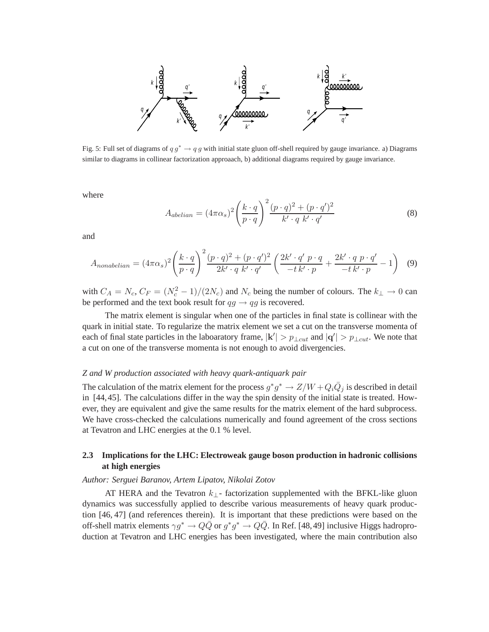

Fig. 5: Full set of diagrams of  $q g^* \to q g$  with initial state gluon off-shell required by gauge invariance. a) Diagrams similar to diagrams in collinear factorization approaach, b) additional diagrams required by gauge invariance.

where

$$
A_{abelian} = (4\pi\alpha_s)^2 \left(\frac{k \cdot q}{p \cdot q}\right)^2 \frac{(p \cdot q)^2 + (p \cdot q')^2}{k' \cdot q k' \cdot q'}
$$
(8)

and

$$
A_{nonabelian} = (4\pi\alpha_s)^2 \left(\frac{k \cdot q}{p \cdot q}\right)^2 \frac{(p \cdot q)^2 + (p \cdot q')^2}{2k' \cdot q k' \cdot q'} \left(\frac{2k' \cdot q' p \cdot q}{-t k' \cdot p} + \frac{2k' \cdot q p \cdot q'}{-t k' \cdot p} - 1\right) \tag{9}
$$

with  $C_A = N_c$ ,  $C_F = (N_c^2 - 1)/(2N_c)$  and  $N_c$  being the number of colours. The  $k_{\perp} \rightarrow 0$  can be performed and the text book result for  $qg \rightarrow qg$  is recovered.

The matrix element is singular when one of the particles in final state is collinear with the quark in initial state. To regularize the matrix element we set a cut on the transverse momenta of each of final state particles in the laboaratory frame,  $|k'| > p_{\perp cut}$  and  $|q'| > p_{\perp cut}$ . We note that a cut on one of the transverse momenta is not enough to avoid divergencies.

## *Z and W production associated with heavy quark-antiquark pair*

The calculation of the matrix element for the process  $g^*g^* \to Z/W + Q_i\bar{Q}_j$  is described in detail in [44,45]. The calculations differ in the way the spin density of the initial state is treated. However, they are equivalent and give the same results for the matrix element of the hard subprocess. We have cross-checked the calculations numerically and found agreement of the cross sections at Tevatron and LHC energies at the 0.1 % level.

## **2.3 Implications for the LHC: Electroweak gauge boson production in hadronic collisions at high energies**

### *Author: Serguei Baranov, Artem Lipatov, Nikolai Zotov*

AT HERA and the Tevatron  $k_{\perp}$ - factorization supplemented with the BFKL-like gluon dynamics was successfully applied to describe various measurements of heavy quark production [46, 47] (and references therein). It is important that these predictions were based on the off-shell matrix elements  $\gamma g^* \to Q\bar{Q}$  or  $g^*g^* \to Q\bar{Q}$ . In Ref. [48,49] inclusive Higgs hadroproduction at Tevatron and LHC energies has been investigated, where the main contribution also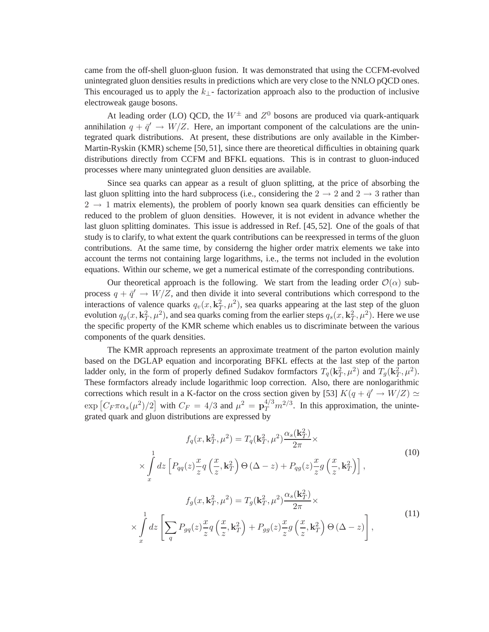came from the off-shell gluon-gluon fusion. It was demonstrated that using the CCFM-evolved unintegrated gluon densities results in predictions which are very close to the NNLO pQCD ones. This encouraged us to apply the  $k_{\perp}$ - factorization approach also to the production of inclusive electroweak gauge bosons.

At leading order (LO) QCD, the  $W^{\pm}$  and  $Z^{0}$  bosons are produced via quark-antiquark annihilation  $q + \bar{q}' \rightarrow W/Z$ . Here, an important component of the calculations are the unintegrated quark distributions. At present, these distributions are only available in the Kimber-Martin-Ryskin (KMR) scheme [50, 51], since there are theoretical difficulties in obtaining quark distributions directly from CCFM and BFKL equations. This is in contrast to gluon-induced processes where many unintegrated gluon densities are available.

Since sea quarks can appear as a result of gluon splitting, at the price of absorbing the last gluon splitting into the hard subprocess (i.e., considering the  $2 \rightarrow 2$  and  $2 \rightarrow 3$  rather than  $2 \rightarrow 1$  matrix elements), the problem of poorly known sea quark densities can efficiently be reduced to the problem of gluon densities. However, it is not evident in advance whether the last gluon splitting dominates. This issue is addressed in Ref. [45, 52]. One of the goals of that study is to clarify, to what extent the quark contributions can be reexpressed in terms of the gluon contributions. At the same time, by considerng the higher order matrix elements we take into account the terms not containing large logarithms, i.e., the terms not included in the evolution equations. Within our scheme, we get a numerical estimate of the corresponding contributions.

Our theoretical approach is the following. We start from the leading order  $\mathcal{O}(\alpha)$  subprocess  $q + \bar{q}' \rightarrow W/Z$ , and then divide it into several contributions which correspond to the interactions of valence quarks  $q_v(x, \mathbf{k}_T^2, \mu^2)$ , sea quarks appearing at the last step of the gluon evolution  $q_g(x, \mathbf{k}_T^2, \mu^2)$ , and sea quarks coming from the earlier steps  $q_s(x, \mathbf{k}_T^2, \mu^2)$ . Here we use the specific property of the KMR scheme which enables us to discriminate between the various components of the quark densities.

The KMR approach represents an approximate treatment of the parton evolution mainly based on the DGLAP equation and incorporating BFKL effects at the last step of the parton ladder only, in the form of properly defined Sudakov formfactors  $T_q(\mathbf{k}_T^2, \mu^2)$  and  $T_g(\mathbf{k}_T^2, \mu^2)$ . These formfactors already include logarithmic loop correction. Also, there are nonlogarithmic corrections which result in a K-factor on the cross section given by [53]  $K(q + \bar{q}' \rightarrow W/Z) \simeq$  $\exp [C_F \pi \alpha_s(\mu^2)/2]$  with  $C_F = 4/3$  and  $\mu^2 = \mathbf{p}_T^{4/3} m^{2/3}$ . In this approximation, the unintegrated quark and gluon distributions are expressed by

 $\left\langle \right\rangle$ 

$$
f_q(x, \mathbf{k}_T^2, \mu^2) = T_q(\mathbf{k}_T^2, \mu^2) \frac{\alpha_s(\mathbf{k}_T^2)}{2\pi} \times
$$
  
\n
$$
\times \int_x^1 dz \left[ P_{qq}(z) \frac{x}{z} q\left(\frac{x}{z}, \mathbf{k}_T^2\right) \Theta\left(\Delta - z\right) + P_{qg}(z) \frac{x}{z} g\left(\frac{x}{z}, \mathbf{k}_T^2\right) \right],
$$
  
\n
$$
f_g(x, \mathbf{k}_T^2, \mu^2) = T_g(\mathbf{k}_T^2, \mu^2) \frac{\alpha_s(\mathbf{k}_T^2)}{2\pi} \times
$$
  
\n
$$
\times \int_x^1 dz \left[ \sum_q P_{gq}(z) \frac{x}{z} q\left(\frac{x}{z}, \mathbf{k}_T^2\right) + P_{gg}(z) \frac{x}{z} g\left(\frac{x}{z}, \mathbf{k}_T^2\right) \Theta\left(\Delta - z\right) \right],
$$
  
\n(11)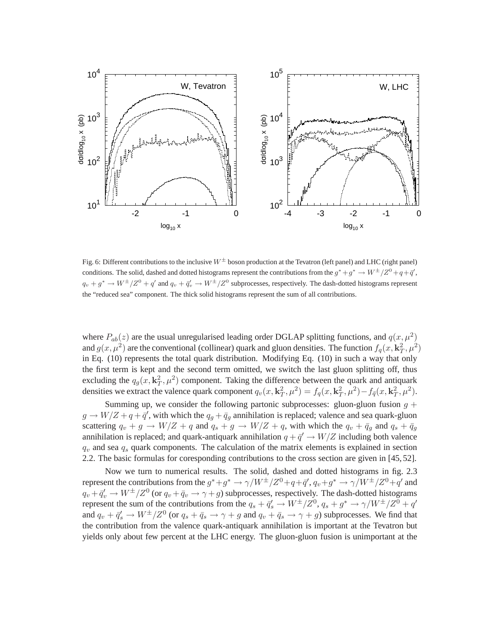

Fig. 6: Different contributions to the inclusive  $W^{\pm}$  boson production at the Tevatron (left panel) and LHC (right panel) conditions. The solid, dashed and dotted histograms represent the contributions from the  $g^* + g^* \to W^{\pm}/Z^0 + q + \bar{q}'$ ,  $q_v + g^* \to W^{\pm}/Z^0 + q'$  and  $q_v + \bar{q}'_v \to W^{\pm}/Z^0$  subprocesses, respectively. The dash-dotted histograms represent the "reduced sea" component. The thick solid histograms represent the sum of all contributions.

where  $P_{ab}(z)$  are the usual unregularised leading order DGLAP splitting functions, and  $q(x,\mu^2)$ and  $g(x, \mu^2)$  are the conventional (collinear) quark and gluon densities. The function  $f_q(x, \mathbf{k}_T^2, \mu^2)$ in Eq. (10) represents the total quark distribution. Modifying Eq. (10) in such a way that only the first term is kept and the second term omitted, we switch the last gluon splitting off, thus excluding the  $q_g(x, \mathbf{k}_T^2, \mu^2)$  component. Taking the difference between the quark and antiquark densities we extract the valence quark component  $q_v(x, \mathbf{k}_T^2, \mu^2) = f_q(x, \mathbf{k}_T^2, \mu^2) - f_{\bar{q}}(x, \mathbf{k}_T^2, \mu^2)$ .

Summing up, we consider the following partonic subprocesses: gluon-gluon fusion  $q +$  $g \to W/Z + q + \bar{q}'$ , with which the  $q_g + \bar{q}_g$  annihilation is replaced; valence and sea quark-gluon scattering  $q_v + g \rightarrow W/Z + q$  and  $q_s + g \rightarrow W/Z + q$ , with which the  $q_v + \bar{q}_g$  and  $q_s + \bar{q}_g$ annihilation is replaced; and quark-antiquark annihilation  $q + \bar{q}' \rightarrow W/Z$  including both valence  $q_v$  and sea  $q_s$  quark components. The calculation of the matrix elements is explained in section 2.2. The basic formulas for coresponding contributions to the cross section are given in [45, 52].

Now we turn to numerical results. The solid, dashed and dotted histograms in fig. 2.3 represent the contributions from the  $g^*+g^* \to \gamma/W^{\pm}/Z^0+q+ \bar{q}', q_v+g^* \to \gamma/W^{\pm}/Z^0+q'$  and  $q_v + \bar q'_v \to W^\pm/Z^0$  (or  $q_v + \bar q_v \to \gamma + g$ ) subprocesses, respectively. The dash-dotted histograms represent the sum of the contributions from the  $q_s + \bar{q}'_s \to W^{\pm}/Z^0$ ,  $q_s + g^* \to \gamma/W^{\pm}/Z^0 + q'$ and  $q_v + \bar{q}_s' \to W^{\pm}/Z^0$  (or  $q_s + \bar{q}_s \to \gamma + g$  and  $q_v + \bar{q}_s \to \gamma + g$ ) subprocesses. We find that the contribution from the valence quark-antiquark annihilation is important at the Tevatron but yields only about few percent at the LHC energy. The gluon-gluon fusion is unimportant at the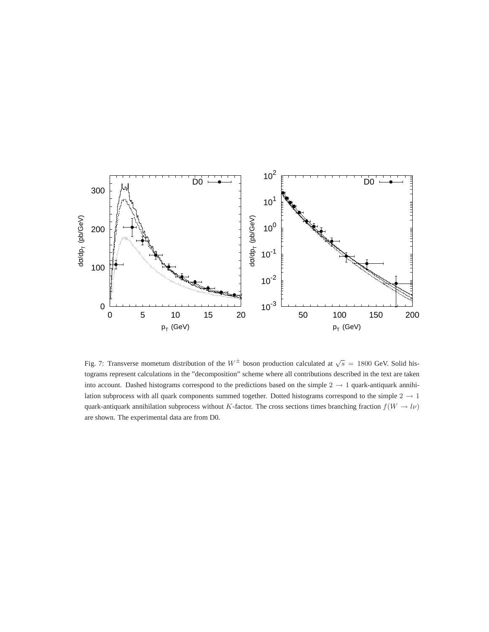

Fig. 7: Transverse mometum distribution of the  $W^{\pm}$  boson production calculated at  $\sqrt{s}$  = 1800 GeV. Solid histograms represent calculations in the "decomposition" scheme where all contributions described in the text are taken into account. Dashed histograms correspond to the predictions based on the simple  $2 \rightarrow 1$  quark-antiquark annihilation subprocess with all quark components summed together. Dotted histograms correspond to the simple  $2 \rightarrow 1$ quark-antiquark annihilation subprocess without K-factor. The cross sections times branching fraction  $f(W \to l\nu)$ are shown. The experimental data are from D0.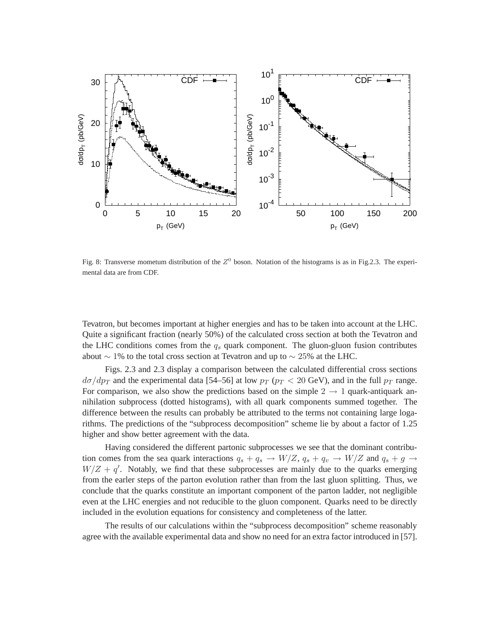

Fig. 8: Transverse mometum distribution of the  $Z^0$  boson. Notation of the histograms is as in Fig.2.3. The experimental data are from CDF.

Tevatron, but becomes important at higher energies and has to be taken into account at the LHC. Quite a significant fraction (nearly 50%) of the calculated cross section at both the Tevatron and the LHC conditions comes from the  $q_s$  quark component. The gluon-gluon fusion contributes about  $\sim$  1% to the total cross section at Tevatron and up to  $\sim$  25% at the LHC.

Figs. 2.3 and 2.3 display a comparison between the calculated differential cross sections  $d\sigma/dp_T$  and the experimental data [54–56] at low  $p_T$  ( $p_T < 20$  GeV), and in the full  $p_T$  range. For comparison, we also show the predictions based on the simple  $2 \rightarrow 1$  quark-antiquark annihilation subprocess (dotted histograms), with all quark components summed together. The difference between the results can probably be attributed to the terms not containing large logarithms. The predictions of the "subprocess decomposition" scheme lie by about a factor of 1.25 higher and show better agreement with the data.

Having considered the different partonic subprocesses we see that the dominant contribution comes from the sea quark interactions  $q_s + q_s \rightarrow W/Z$ ,  $q_s + q_v \rightarrow W/Z$  and  $q_s + g \rightarrow$  $W/Z + q'$ . Notably, we find that these subprocesses are mainly due to the quarks emerging from the earler steps of the parton evolution rather than from the last gluon splitting. Thus, we conclude that the quarks constitute an important component of the parton ladder, not negligible even at the LHC energies and not reducible to the gluon component. Quarks need to be directly included in the evolution equations for consistency and completeness of the latter.

The results of our calculations within the "subprocess decomposition" scheme reasonably agree with the available experimental data and show no need for an extra factor introduced in [57].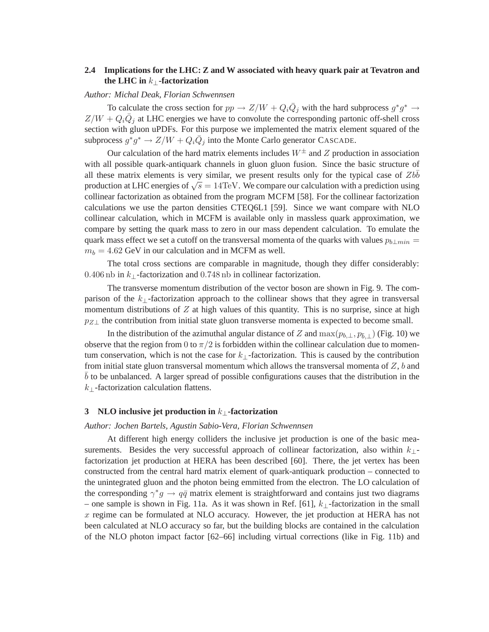## **2.4 Implications for the LHC: Z and W associated with heavy quark pair at Tevatron and the LHC in** k⊥**-factorization**

### *Author: Michal Deak, Florian Schwennsen*

To calculate the cross section for  $pp \to Z/W + Q_i \bar{Q}_j$  with the hard subprocess  $g^*g^* \to$  $Z/W + Q_i\overline{Q}_j$  at LHC energies we have to convolute the corresponding partonic off-shell cross section with gluon uPDFs. For this purpose we implemented the matrix element squared of the subprocess  $g^*g^* \to Z/W + Q_i\overline{Q}_j$  into the Monte Carlo generator CASCADE.

Our calculation of the hard matrix elements includes  $W^{\pm}$  and Z production in association with all possible quark-antiquark channels in gluon gluon fusion. Since the basic structure of all these matrix elements is very similar, we present results only for the typical case of  $Zb\bar{b}$ production at LHC energies of  $\sqrt{s} = 14 \text{TeV}$ . We compare our calculation with a prediction using collinear factorization as obtained from the program MCFM [58]. For the collinear factorization calculations we use the parton densities CTEQ6L1 [59]. Since we want compare with NLO collinear calculation, which in MCFM is available only in massless quark approximation, we compare by setting the quark mass to zero in our mass dependent calculation. To emulate the quark mass effect we set a cutoff on the transversal momenta of the quarks with values  $p_{b\perp min}$  =  $m_b = 4.62$  GeV in our calculation and in MCFM as well.

The total cross sections are comparable in magnitude, though they differ considerably: 0.406 nb in  $k_{\perp}$ -factorization and 0.748 nb in collinear factorization.

The transverse momentum distribution of the vector boson are shown in Fig. 9. The comparison of the  $k_{\perp}$ -factorization approach to the collinear shows that they agree in transversal momentum distributions of  $Z$  at high values of this quantity. This is no surprise, since at high  $p_{Z\perp}$  the contribution from initial state gluon transverse momenta is expected to become small.

In the distribution of the azimuthal angular distance of Z and  $max(p_{b,\perp},p_{\overline{b},\perp})$  (Fig. 10) we observe that the region from 0 to  $\pi/2$  is forbidden within the collinear calculation due to momentum conservation, which is not the case for  $k_{\perp}$ -factorization. This is caused by the contribution from initial state gluon transversal momentum which allows the transversal momenta of  $Z$ , b and  $\overline{b}$  to be unbalanced. A larger spread of possible configurations causes that the distribution in the k⊥-factorization calculation flattens.

### **3 NLO inclusive jet production in** k⊥**-factorization**

*Author: Jochen Bartels, Agustin Sabio-Vera, Florian Schwennsen*

At different high energy colliders the inclusive jet production is one of the basic measurements. Besides the very successful approach of collinear factorization, also within  $k_1$ factorization jet production at HERA has been described [60]. There, the jet vertex has been constructed from the central hard matrix element of quark-antiquark production – connected to the unintegrated gluon and the photon being emmitted from the electron. The LO calculation of the corresponding  $\gamma^* g \to q\bar{q}$  matrix element is straightforward and contains just two diagrams – one sample is shown in Fig. 11a. As it was shown in Ref. [61],  $k_{\perp}$ -factorization in the small  $x$  regime can be formulated at NLO accuracy. However, the jet production at HERA has not been calculated at NLO accuracy so far, but the building blocks are contained in the calculation of the NLO photon impact factor [62–66] including virtual corrections (like in Fig. 11b) and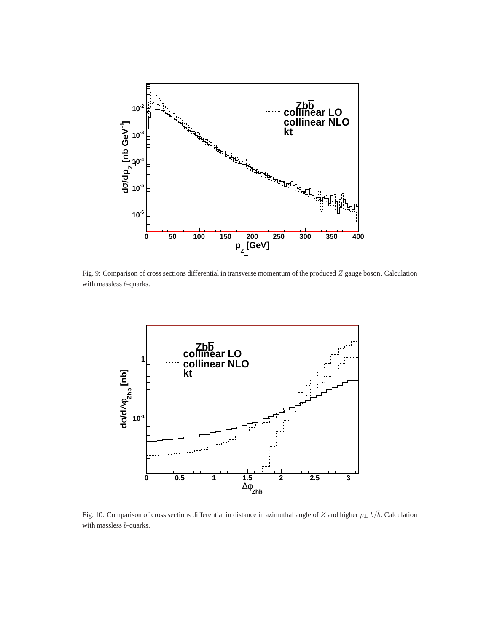

Fig. 9: Comparison of cross sections differential in transverse momentum of the produced Z gauge boson. Calculation with massless b-quarks.



Fig. 10: Comparison of cross sections differential in distance in azimuthal angle of Z and higher  $p_\perp b/\bar{b}$ . Calculation with massless b-quarks.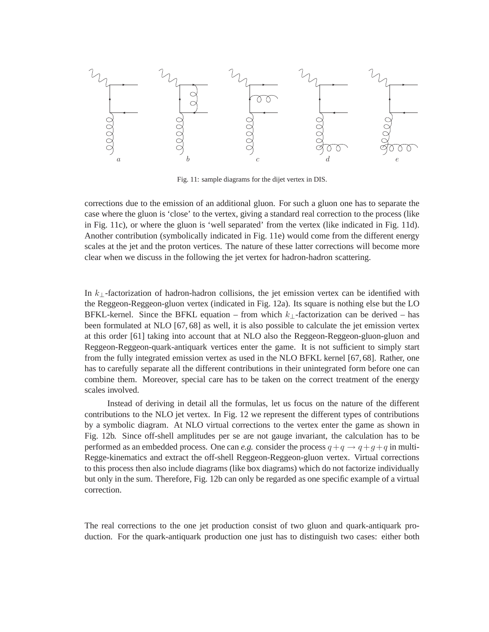

Fig. 11: sample diagrams for the dijet vertex in DIS.

corrections due to the emission of an additional gluon. For such a gluon one has to separate the case where the gluon is 'close' to the vertex, giving a standard real correction to the process (like in Fig. 11c), or where the gluon is 'well separated' from the vertex (like indicated in Fig. 11d). Another contribution (symbolically indicated in Fig. 11e) would come from the different energy scales at the jet and the proton vertices. The nature of these latter corrections will become more clear when we discuss in the following the jet vertex for hadron-hadron scattering.

In  $k_{\perp}$ -factorization of hadron-hadron collisions, the jet emission vertex can be identified with the Reggeon-Reggeon-gluon vertex (indicated in Fig. 12a). Its square is nothing else but the LO BFKL-kernel. Since the BFKL equation – from which  $k_{\perp}$ -factorization can be derived – has been formulated at NLO [67, 68] as well, it is also possible to calculate the jet emission vertex at this order [61] taking into account that at NLO also the Reggeon-Reggeon-gluon-gluon and Reggeon-Reggeon-quark-antiquark vertices enter the game. It is not sufficient to simply start from the fully integrated emission vertex as used in the NLO BFKL kernel [67, 68]. Rather, one has to carefully separate all the different contributions in their unintegrated form before one can combine them. Moreover, special care has to be taken on the correct treatment of the energy scales involved.

Instead of deriving in detail all the formulas, let us focus on the nature of the different contributions to the NLO jet vertex. In Fig. 12 we represent the different types of contributions by a symbolic diagram. At NLO virtual corrections to the vertex enter the game as shown in Fig. 12b. Since off-shell amplitudes per se are not gauge invariant, the calculation has to be performed as an embedded process. One can *e.g.* consider the process  $q + q \rightarrow q + q + q$  in multi-Regge-kinematics and extract the off-shell Reggeon-Reggeon-gluon vertex. Virtual corrections to this process then also include diagrams (like box diagrams) which do not factorize individually but only in the sum. Therefore, Fig. 12b can only be regarded as one specific example of a virtual correction.

The real corrections to the one jet production consist of two gluon and quark-antiquark production. For the quark-antiquark production one just has to distinguish two cases: either both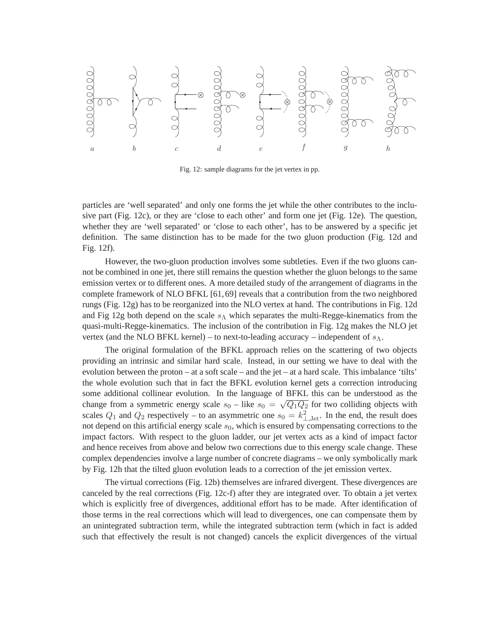

Fig. 12: sample diagrams for the jet vertex in pp.

particles are 'well separated' and only one forms the jet while the other contributes to the inclusive part (Fig. 12c), or they are 'close to each other' and form one jet (Fig. 12e). The question, whether they are 'well separated' or 'close to each other', has to be answered by a specific jet definition. The same distinction has to be made for the two gluon production (Fig. 12d and Fig. 12f).

However, the two-gluon production involves some subtleties. Even if the two gluons cannot be combined in one jet, there still remains the question whether the gluon belongs to the same emission vertex or to different ones. A more detailed study of the arrangement of diagrams in the complete framework of NLO BFKL [61,69] reveals that a contribution from the two neighbored rungs (Fig. 12g) has to be reorganized into the NLO vertex at hand. The contributions in Fig. 12d and Fig 12g both depend on the scale  $s_{\Lambda}$  which separates the multi-Regge-kinematics from the quasi-multi-Regge-kinematics. The inclusion of the contribution in Fig. 12g makes the NLO jet vertex (and the NLO BFKL kernel) – to next-to-leading accuracy – independent of  $s_\Lambda$ .

The original formulation of the BFKL approach relies on the scattering of two objects providing an intrinsic and similar hard scale. Instead, in our setting we have to deal with the evolution between the proton – at a soft scale – and the jet – at a hard scale. This imbalance 'tilts' the whole evolution such that in fact the BFKL evolution kernel gets a correction introducing some additional collinear evolution. In the language of BFKL this can be understood as the change from a symmetric energy scale  $s_0$  – like  $s_0 = \sqrt{Q_1 Q_2}$  for two colliding objects with scales  $Q_1$  and  $Q_2$  respectively – to an asymmetric one  $s_0 = k_{\perp, \text{Jet}}^2$ . In the end, the result does not depend on this artificial energy scale  $s_0$ , which is ensured by compensating corrections to the impact factors. With respect to the gluon ladder, our jet vertex acts as a kind of impact factor and hence receives from above and below two corrections due to this energy scale change. These complex dependencies involve a large number of concrete diagrams – we only symbolically mark by Fig. 12h that the tilted gluon evolution leads to a correction of the jet emission vertex.

The virtual corrections (Fig. 12b) themselves are infrared divergent. These divergences are canceled by the real corrections (Fig. 12c-f) after they are integrated over. To obtain a jet vertex which is explicitly free of divergences, additional effort has to be made. After identification of those terms in the real corrections which will lead to divergences, one can compensate them by an unintegrated subtraction term, while the integrated subtraction term (which in fact is added such that effectively the result is not changed) cancels the explicit divergences of the virtual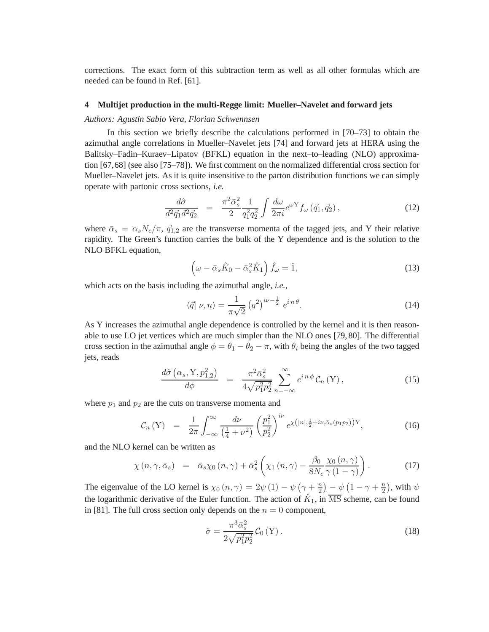corrections. The exact form of this subtraction term as well as all other formulas which are needed can be found in Ref. [61].

## **4 Multijet production in the multi-Regge limit: Mueller–Navelet and forward jets**

### *Authors: Agust´ın Sabio Vera, Florian Schwennsen*

In this section we briefly describe the calculations performed in [70–73] to obtain the azimuthal angle correlations in Mueller–Navelet jets [74] and forward jets at HERA using the Balitsky–Fadin–Kuraev–Lipatov (BFKL) equation in the next–to–leading (NLO) approximation [67,68] (see also [75–78]). We first comment on the normalized differential cross section for Mueller–Navelet jets. As it is quite insensitive to the parton distribution functions we can simply operate with partonic cross sections, *i.e.*

$$
\frac{d\hat{\sigma}}{d^2 \vec{q}_1 d^2 \vec{q}_2} = \frac{\pi^2 \bar{\alpha}_s^2}{2} \frac{1}{q_1^2 q_2^2} \int \frac{d\omega}{2\pi i} e^{\omega Y} f_{\omega} (\vec{q}_1, \vec{q}_2), \qquad (12)
$$

where  $\bar{\alpha}_s = \alpha_s N_c / \pi$ ,  $\vec{q}_{1,2}$  are the transverse momenta of the tagged jets, and Y their relative rapidity. The Green's function carries the bulk of the Y dependence and is the solution to the NLO BFKL equation,

$$
\left(\omega - \bar{\alpha}_s \hat{K}_0 - \bar{\alpha}_s^2 \hat{K}_1\right) \hat{f}_\omega = \hat{1},\tag{13}
$$

which acts on the basis including the azimuthal angle, *i.e.*,

$$
\langle \vec{q} | \nu, n \rangle = \frac{1}{\pi \sqrt{2}} \left( q^2 \right)^{i\nu - \frac{1}{2}} e^{i n \theta}.
$$
 (14)

As Y increases the azimuthal angle dependence is controlled by the kernel and it is then reasonable to use LO jet vertices which are much simpler than the NLO ones [79, 80]. The differential cross section in the azimuthal angle  $\phi = \theta_1 - \theta_2 - \pi$ , with  $\theta_i$  being the angles of the two tagged jets, reads

$$
\frac{d\hat{\sigma}\left(\alpha_s, Y, p_{1,2}^2\right)}{d\phi} = \frac{\pi^2 \bar{\alpha}_s^2}{4\sqrt{p_1^2 p_2^2}} \sum_{n=-\infty}^{\infty} e^{in\phi} \mathcal{C}_n(Y), \qquad (15)
$$

where  $p_1$  and  $p_2$  are the cuts on transverse momenta and

$$
\mathcal{C}_n(Y) = \frac{1}{2\pi} \int_{-\infty}^{\infty} \frac{d\nu}{\left(\frac{1}{4} + \nu^2\right)} \left(\frac{p_1^2}{p_2^2}\right)^{i\nu} e^{\chi\left(|n|, \frac{1}{2} + i\nu, \bar{\alpha}_s(p_1 p_2)\right)Y}, \tag{16}
$$

and the NLO kernel can be written as

$$
\chi(n,\gamma,\bar{\alpha}_s) = \bar{\alpha}_s \chi_0(n,\gamma) + \bar{\alpha}_s^2 \left( \chi_1(n,\gamma) - \frac{\beta_0}{8N_c} \frac{\chi_0(n,\gamma)}{\gamma(1-\gamma)} \right). \tag{17}
$$

The eigenvalue of the LO kernel is  $\chi_0(n, \gamma) = 2\psi(1) - \psi(\gamma + \frac{n}{2})$  $\frac{n}{2}$ ) –  $\psi\left(1-\gamma+\frac{n}{2}\right)$  $\frac{n}{2}$ ), with  $\psi$ the logarithmic derivative of the Euler function. The action of  $\hat{K}_1$ , in  $\overline{\text{MS}}$  scheme, can be found in [81]. The full cross section only depends on the  $n = 0$  component,

$$
\hat{\sigma} = \frac{\pi^3 \bar{\alpha}_s^2}{2\sqrt{p_1^2 p_2^2}} \mathcal{C}_0 \left( Y \right). \tag{18}
$$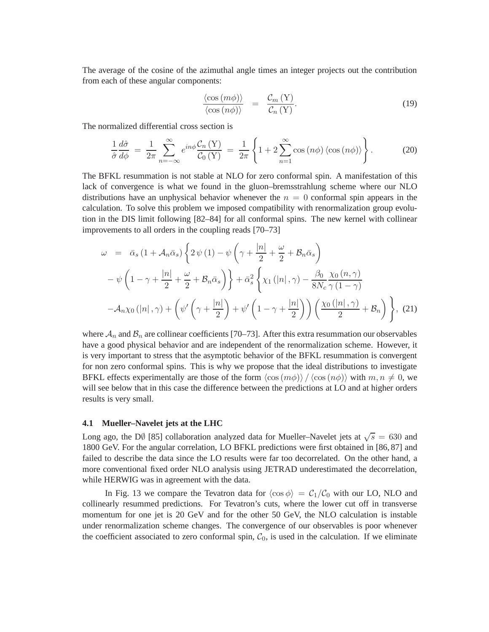The average of the cosine of the azimuthal angle times an integer projects out the contribution from each of these angular components:

$$
\frac{\langle \cos(m\phi) \rangle}{\langle \cos(n\phi) \rangle} = \frac{\mathcal{C}_m(Y)}{\mathcal{C}_n(Y)}.
$$
\n(19)

The normalized differential cross section is

$$
\frac{1}{\hat{\sigma}} \frac{d\hat{\sigma}}{d\phi} = \frac{1}{2\pi} \sum_{n=-\infty}^{\infty} e^{in\phi} \frac{\mathcal{C}_n(Y)}{\mathcal{C}_0(Y)} = \frac{1}{2\pi} \left\{ 1 + 2 \sum_{n=1}^{\infty} \cos(n\phi) \left\langle \cos(n\phi) \right\rangle \right\}.
$$
 (20)

The BFKL resummation is not stable at NLO for zero conformal spin. A manifestation of this lack of convergence is what we found in the gluon–bremsstrahlung scheme where our NLO distributions have an unphysical behavior whenever the  $n = 0$  conformal spin appears in the calculation. To solve this problem we imposed compatibility with renormalization group evolution in the DIS limit following [82–84] for all conformal spins. The new kernel with collinear improvements to all orders in the coupling reads [70–73]

$$
\omega = \bar{\alpha}_s (1 + A_n \bar{\alpha}_s) \left\{ 2 \psi(1) - \psi \left( \gamma + \frac{|n|}{2} + \frac{\omega}{2} + B_n \bar{\alpha}_s \right) \right\}
$$

$$
- \psi \left( 1 - \gamma + \frac{|n|}{2} + \frac{\omega}{2} + B_n \bar{\alpha}_s \right) \right\} + \bar{\alpha}_s^2 \left\{ \chi_1(|n|, \gamma) - \frac{\beta_0}{8N_c} \frac{\chi_0(n, \gamma)}{\gamma(1 - \gamma)} \right\}
$$

$$
- A_n \chi_0(|n|, \gamma) + \left( \psi' \left( \gamma + \frac{|n|}{2} \right) + \psi' \left( 1 - \gamma + \frac{|n|}{2} \right) \right) \left( \frac{\chi_0(|n|, \gamma)}{2} + B_n \right) \right\}, \tag{21}
$$

where  $A_n$  and  $B_n$  are collinear coefficients [70–73]. After this extra resummation our observables have a good physical behavior and are independent of the renormalization scheme. However, it is very important to stress that the asymptotic behavior of the BFKL resummation is convergent for non zero conformal spins. This is why we propose that the ideal distributions to investigate BFKL effects experimentally are those of the form  $\langle \cos(m\phi) \rangle / \langle \cos(n\phi) \rangle$  with  $m, n \neq 0$ , we will see below that in this case the difference between the predictions at LO and at higher orders results is very small.

### **4.1 Mueller–Navelet jets at the LHC**

Long ago, the DØ [85] collaboration analyzed data for Mueller–Navelet jets at  $\sqrt{s} = 630$  and 1800 GeV. For the angular correlation, LO BFKL predictions were first obtained in [86, 87] and failed to describe the data since the LO results were far too decorrelated. On the other hand, a more conventional fixed order NLO analysis using JETRAD underestimated the decorrelation, while HERWIG was in agreement with the data.

In Fig. 13 we compare the Tevatron data for  $\langle \cos \phi \rangle = C_1/C_0$  with our LO, NLO and collinearly resummed predictions. For Tevatron's cuts, where the lower cut off in transverse momentum for one jet is 20 GeV and for the other 50 GeV, the NLO calculation is instable under renormalization scheme changes. The convergence of our observables is poor whenever the coefficient associated to zero conformal spin,  $C_0$ , is used in the calculation. If we eliminate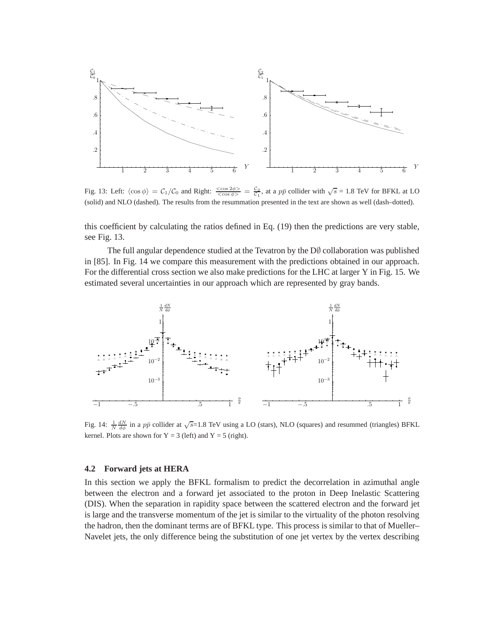

Fig. 13: Left:  $\langle \cos \phi \rangle = C_1/C_0$  and Right:  $\frac{\langle \cos 2\phi \rangle}{\langle \cos \phi \rangle} = \frac{C_2}{C_1}$ , at a  $p\bar{p}$  collider with  $\sqrt{s} = 1.8$  TeV for BFKL at LO (solid) and NLO (dashed). The results from the resummation presented in the text are shown as well (dash–dotted).

this coefficient by calculating the ratios defined in Eq. (19) then the predictions are very stable, see Fig. 13.

The full angular dependence studied at the Tevatron by the  $D\emptyset$  collaboration was published in [85]. In Fig. 14 we compare this measurement with the predictions obtained in our approach. For the differential cross section we also make predictions for the LHC at larger Y in Fig. 15. We estimated several uncertainties in our approach which are represented by gray bands.



Fig. 14:  $\frac{1}{N} \frac{dN}{d\phi}$  in a  $p\bar{p}$  collider at  $\sqrt{s}$ =1.8 TeV using a LO (stars), NLO (squares) and resummed (triangles) BFKL kernel. Plots are shown for  $Y = 3$  (left) and  $Y = 5$  (right).

### **4.2 Forward jets at HERA**

In this section we apply the BFKL formalism to predict the decorrelation in azimuthal angle between the electron and a forward jet associated to the proton in Deep Inelastic Scattering (DIS). When the separation in rapidity space between the scattered electron and the forward jet is large and the transverse momentum of the jet is similar to the virtuality of the photon resolving the hadron, then the dominant terms are of BFKL type. This process is similar to that of Mueller– Navelet jets, the only difference being the substitution of one jet vertex by the vertex describing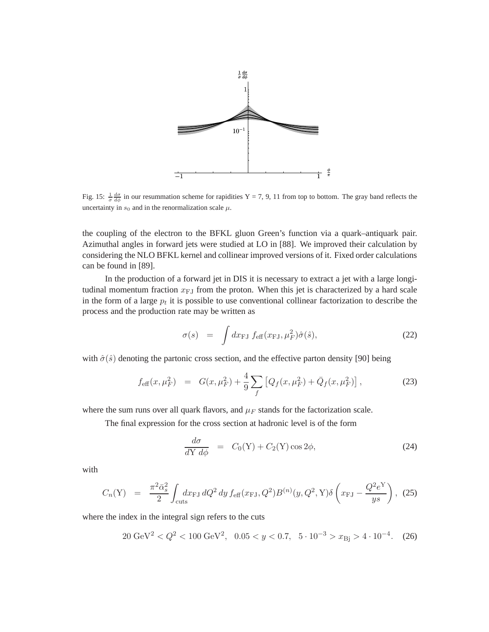

Fig. 15:  $\frac{1}{\sigma} \frac{d\sigma}{d\phi}$  in our resummation scheme for rapidities Y = 7, 9, 11 from top to bottom. The gray band reflects the uncertainty in  $s_0$  and in the renormalization scale  $\mu$ .

the coupling of the electron to the BFKL gluon Green's function via a quark–antiquark pair. Azimuthal angles in forward jets were studied at LO in [88]. We improved their calculation by considering the NLO BFKL kernel and collinear improved versions of it. Fixed order calculations can be found in [89].

In the production of a forward jet in DIS it is necessary to extract a jet with a large longitudinal momentum fraction  $x_{FJ}$  from the proton. When this jet is characterized by a hard scale in the form of a large  $p_t$  it is possible to use conventional collinear factorization to describe the process and the production rate may be written as

$$
\sigma(s) = \int dx_{\rm FJ} f_{\rm eff}(x_{\rm FJ}, \mu_F^2) \hat{\sigma}(\hat{s}), \qquad (22)
$$

with  $\hat{\sigma}(\hat{s})$  denoting the partonic cross section, and the effective parton density [90] being

$$
f_{\text{eff}}(x,\mu_F^2) = G(x,\mu_F^2) + \frac{4}{9} \sum_f \left[ Q_f(x,\mu_F^2) + \bar{Q}_f(x,\mu_F^2) \right],\tag{23}
$$

where the sum runs over all quark flavors, and  $\mu_F$  stands for the factorization scale.

The final expression for the cross section at hadronic level is of the form

$$
\frac{d\sigma}{dY \, d\phi} = C_0(Y) + C_2(Y) \cos 2\phi, \tag{24}
$$

with

$$
C_n(Y) = \frac{\pi^2 \bar{\alpha}_s^2}{2} \int_{\text{cuts}} dx_{\text{FJ}} dQ^2 dy f_{\text{eff}}(x_{\text{FJ}}, Q^2) B^{(n)}(y, Q^2, Y) \delta\left(x_{\text{FJ}} - \frac{Q^2 e^Y}{ys}\right), \tag{25}
$$

where the index in the integral sign refers to the cuts

$$
20 \text{ GeV}^2 < Q^2 < 100 \text{ GeV}^2, \quad 0.05 < y < 0.7, \quad 5 \cdot 10^{-3} > x_{\text{Bj}} > 4 \cdot 10^{-4}. \tag{26}
$$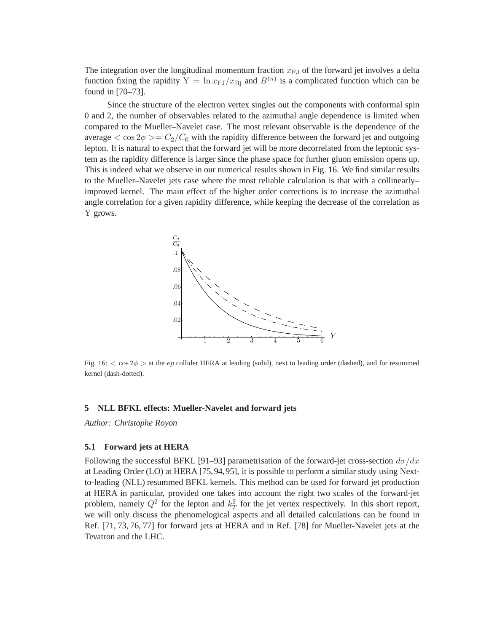The integration over the longitudinal momentum fraction  $x_{FJ}$  of the forward jet involves a delta function fixing the rapidity  $Y = \ln x_{FJ}/x_{Bj}$  and  $B^{(n)}$  is a complicated function which can be found in [70–73].

Since the structure of the electron vertex singles out the components with conformal spin 0 and 2, the number of observables related to the azimuthal angle dependence is limited when compared to the Mueller–Navelet case. The most relevant observable is the dependence of the average  $\langle \cos 2\phi \rangle = C_2/C_0$  with the rapidity difference between the forward jet and outgoing lepton. It is natural to expect that the forward jet will be more decorrelated from the leptonic system as the rapidity difference is larger since the phase space for further gluon emission opens up. This is indeed what we observe in our numerical results shown in Fig. 16. We find similar results to the Mueller–Navelet jets case where the most reliable calculation is that with a collinearly– improved kernel. The main effect of the higher order corrections is to increase the azimuthal angle correlation for a given rapidity difference, while keeping the decrease of the correlation as Y grows.



Fig. 16:  $<$  cos 2 $\phi$  > at the ep collider HERA at leading (solid), next to leading order (dashed), and for resummed kernel (dash-dotted).

### **5 NLL BFKL effects: Mueller-Navelet and forward jets**

*Author: Christophe Royon*

### **5.1 Forward jets at HERA**

Following the successful BFKL [91–93] parametrisation of the forward-jet cross-section  $d\sigma/dx$ at Leading Order (LO) at HERA [75,94,95], it is possible to perform a similar study using Nextto-leading (NLL) resummed BFKL kernels. This method can be used for forward jet production at HERA in particular, provided one takes into account the right two scales of the forward-jet problem, namely  $Q^2$  for the lepton and  $k<sub>T</sub><sup>2</sup>$  for the jet vertex respectively. In this short report, we will only discuss the phenomelogical aspects and all detailed calculations can be found in Ref. [71, 73, 76, 77] for forward jets at HERA and in Ref. [78] for Mueller-Navelet jets at the Tevatron and the LHC.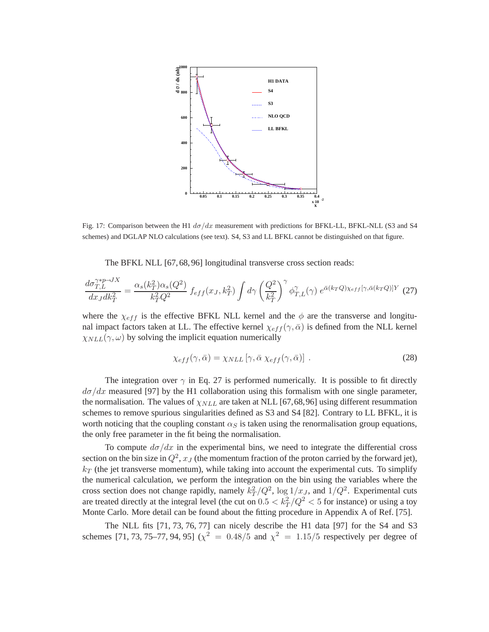

Fig. 17: Comparison between the H1  $d\sigma/dx$  measurement with predictions for BFKL-LL, BFKL-NLL (S3 and S4 schemes) and DGLAP NLO calculations (see text). S4, S3 and LL BFKL cannot be distinguished on that figure.

The BFKL NLL [67, 68, 96] longitudinal transverse cross section reads:

$$
\frac{d\sigma_{T,L}^{\gamma\ast p\to JX}}{dx_J dk_T^2} = \frac{\alpha_s(k_T^2)\alpha_s(Q^2)}{k_T^2 Q^2} f_{eff}(x_J, k_T^2) \int d\gamma \left(\frac{Q^2}{k_T^2}\right)^{\gamma} \phi_{T,L}^{\gamma}(\gamma) e^{\bar{\alpha}(k_T Q)\chi_{eff}[\gamma,\bar{\alpha}(k_T Q)]Y} (27)
$$

where the  $\chi_{eff}$  is the effective BFKL NLL kernel and the  $\phi$  are the transverse and longitunal impact factors taken at LL. The effective kernel  $\chi_{eff}(\gamma, \bar{\alpha})$  is defined from the NLL kernel  $\chi_{NLL}(\gamma,\omega)$  by solving the implicit equation numerically

$$
\chi_{eff}(\gamma,\bar{\alpha}) = \chi_{NLL} [\gamma,\bar{\alpha} \chi_{eff}(\gamma,\bar{\alpha})]. \tag{28}
$$

The integration over  $\gamma$  in Eq. 27 is performed numerically. It is possible to fit directly  $d\sigma/dx$  measured [97] by the H1 collaboration using this formalism with one single parameter, the normalisation. The values of  $\chi_{NLL}$  are taken at NLL [67,68,96] using different resummation schemes to remove spurious singularities defined as S3 and S4 [82]. Contrary to LL BFKL, it is worth noticing that the coupling constant  $\alpha_S$  is taken using the renormalisation group equations, the only free parameter in the fit being the normalisation.

To compute  $d\sigma/dx$  in the experimental bins, we need to integrate the differential cross section on the bin size in  $Q^2$ ,  $x_J$  (the momentum fraction of the proton carried by the forward jet),  $k_T$  (the jet transverse momentum), while taking into account the experimental cuts. To simplify the numerical calculation, we perform the integration on the bin using the variables where the cross section does not change rapidly, namely  $k_T^2/Q^2$ ,  $\log 1/x_J$ , and  $1/Q^2$ . Experimental cuts are treated directly at the integral level (the cut on  $0.5 < k_T^2/Q^2 < 5$  for instance) or using a toy Monte Carlo. More detail can be found about the fitting procedure in Appendix A of Ref. [75].

The NLL fits [71, 73, 76, 77] can nicely describe the H1 data [97] for the S4 and S3 schemes [71, 73, 75–77, 94, 95] ( $\chi^2 = 0.48/5$  and  $\chi^2 = 1.15/5$  respectively per degree of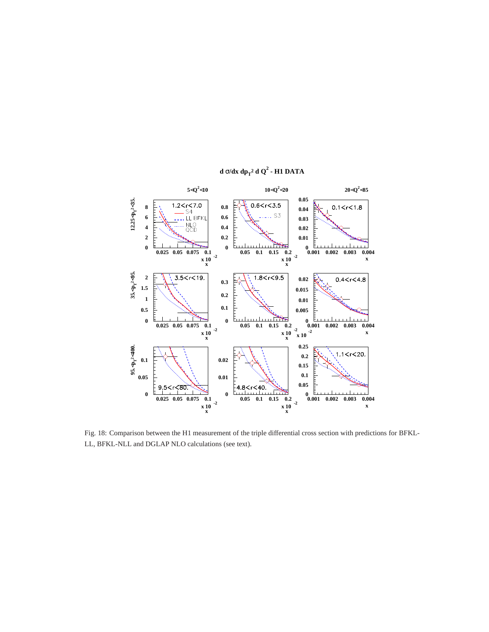

**d** σ**/dx dp<sup>T</sup> <sup>2</sup> d Q<sup>2</sup> - H1 DATA**

Fig. 18: Comparison between the H1 measurement of the triple differential cross section with predictions for BFKL-LL, BFKL-NLL and DGLAP NLO calculations (see text).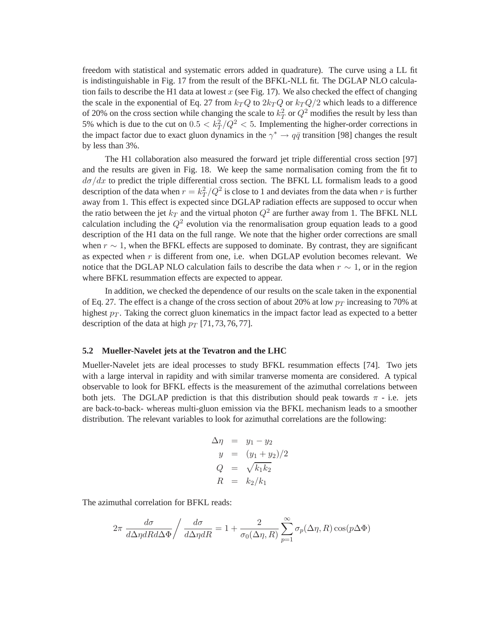freedom with statistical and systematic errors added in quadrature). The curve using a LL fit is indistinguishable in Fig. 17 from the result of the BFKL-NLL fit. The DGLAP NLO calculation fails to describe the H1 data at lowest  $x$  (see Fig. 17). We also checked the effect of changing the scale in the exponential of Eq. 27 from  $k_T Q$  to  $2k_T Q$  or  $k_T Q/2$  which leads to a difference of 20% on the cross section while changing the scale to  $k<sub>T</sub><sup>2</sup>$  or  $Q<sup>2</sup>$  modifies the result by less than 5% which is due to the cut on  $0.5 < k_T^2/Q^2 < 5$ . Implementing the higher-order corrections in the impact factor due to exact gluon dynamics in the  $\gamma^* \to q\bar{q}$  transition [98] changes the result by less than 3%.

The H1 collaboration also measured the forward jet triple differential cross section [97] and the results are given in Fig. 18. We keep the same normalisation coming from the fit to  $d\sigma/dx$  to predict the triple differential cross section. The BFKL LL formalism leads to a good description of the data when  $r = k_T^2/Q^2$  is close to 1 and deviates from the data when r is further away from 1. This effect is expected since DGLAP radiation effects are supposed to occur when the ratio between the jet  $k_T$  and the virtual photon  $Q^2$  are further away from 1. The BFKL NLL calculation including the  $Q^2$  evolution via the renormalisation group equation leads to a good description of the H1 data on the full range. We note that the higher order corrections are small when  $r \sim 1$ , when the BFKL effects are supposed to dominate. By contrast, they are significant as expected when  $r$  is different from one, i.e. when DGLAP evolution becomes relevant. We notice that the DGLAP NLO calculation fails to describe the data when  $r \sim 1$ , or in the region where BFKL resummation effects are expected to appear.

In addition, we checked the dependence of our results on the scale taken in the exponential of Eq. 27. The effect is a change of the cross section of about 20% at low  $p_T$  increasing to 70% at highest  $p_T$ . Taking the correct gluon kinematics in the impact factor lead as expected to a better description of the data at high  $p_T$  [71, 73, 76, 77].

### **5.2 Mueller-Navelet jets at the Tevatron and the LHC**

Mueller-Navelet jets are ideal processes to study BFKL resummation effects [74]. Two jets with a large interval in rapidity and with similar tranverse momenta are considered. A typical observable to look for BFKL effects is the measurement of the azimuthal correlations between both jets. The DGLAP prediction is that this distribution should peak towards  $\pi$  - i.e. jets are back-to-back- whereas multi-gluon emission via the BFKL mechanism leads to a smoother distribution. The relevant variables to look for azimuthal correlations are the following:

$$
\begin{array}{rcl}\n\Delta \eta & = & y_1 - y_2 \\
y & = & (y_1 + y_2)/2 \\
Q & = & \sqrt{k_1 k_2} \\
R & = & k_2 / k_1\n\end{array}
$$

The azimuthal correlation for BFKL reads:

$$
2\pi \frac{d\sigma}{d\Delta \eta dR d\Delta \Phi} / \frac{d\sigma}{d\Delta \eta dR} = 1 + \frac{2}{\sigma_0(\Delta \eta, R)} \sum_{p=1}^{\infty} \sigma_p(\Delta \eta, R) \cos(p\Delta \Phi)
$$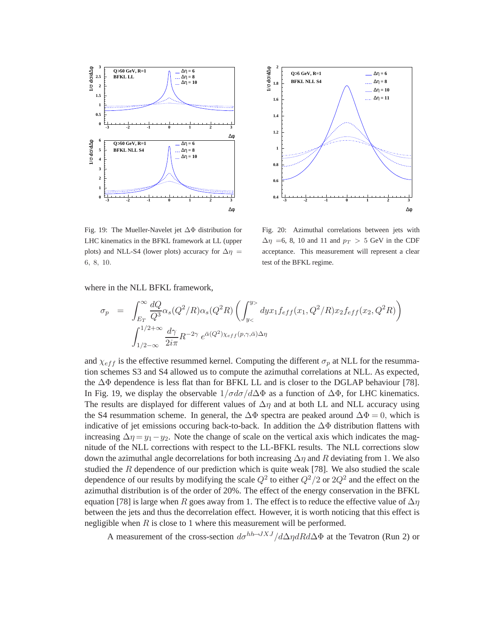



Fig. 19: The Mueller-Navelet jet ∆Φ distribution for LHC kinematics in the BFKL framework at LL (upper plots) and NLL-S4 (lower plots) accuracy for  $\Delta \eta$  = 6, 8, 10.

Fig. 20: Azimuthal correlations between jets with  $\Delta \eta$  =6, 8, 10 and 11 and  $p_T > 5$  GeV in the CDF acceptance. This measurement will represent a clear test of the BFKL regime.

where in the NLL BFKL framework,

$$
\sigma_p = \int_{E_T}^{\infty} \frac{dQ}{Q^3} \alpha_s (Q^2/R) \alpha_s (Q^2 R) \left( \int_{y_<}^{y_>} dy x_1 f_{eff}(x_1, Q^2/R) x_2 f_{eff}(x_2, Q^2 R) \right)
$$

$$
\int_{1/2-\infty}^{1/2+\infty} \frac{d\gamma}{2i\pi} R^{-2\gamma} e^{\bar{\alpha}(Q^2)\chi_{eff}(p,\gamma,\bar{\alpha})\Delta\eta}
$$

and  $\chi_{eff}$  is the effective resummed kernel. Computing the different  $\sigma_p$  at NLL for the resummation schemes S3 and S4 allowed us to compute the azimuthal correlations at NLL. As expected, the ∆Φ dependence is less flat than for BFKL LL and is closer to the DGLAP behaviour [78]. In Fig. 19, we display the observable  $1/\sigma d\sigma/d\Delta\Phi$  as a function of  $\Delta\Phi$ , for LHC kinematics. The results are displayed for different values of  $\Delta\eta$  and at both LL and NLL accuracy using the S4 resummation scheme. In general, the  $\Delta \Phi$  spectra are peaked around  $\Delta \Phi = 0$ , which is indicative of jet emissions occuring back-to-back. In addition the  $\Delta\Phi$  distribution flattens with increasing  $\Delta \eta = y_1 - y_2$ . Note the change of scale on the vertical axis which indicates the magnitude of the NLL corrections with respect to the LL-BFKL results. The NLL corrections slow down the azimuthal angle decorrelations for both increasing  $\Delta \eta$  and R deviating from 1. We also studied the  $R$  dependence of our prediction which is quite weak [78]. We also studied the scale dependence of our results by modifying the scale  $Q^2$  to either  $Q^2/2$  or  $2Q^2$  and the effect on the azimuthal distribution is of the order of 20%. The effect of the energy conservation in the BFKL equation [78] is large when R goes away from 1. The effect is to reduce the effective value of  $\Delta\eta$ between the jets and thus the decorrelation effect. However, it is worth noticing that this effect is negligible when  $R$  is close to 1 where this measurement will be performed.

A measurement of the cross-section  $d\sigma^{hh\to JXJ}/d\Delta\eta dR d\Delta\Phi$  at the Tevatron (Run 2) or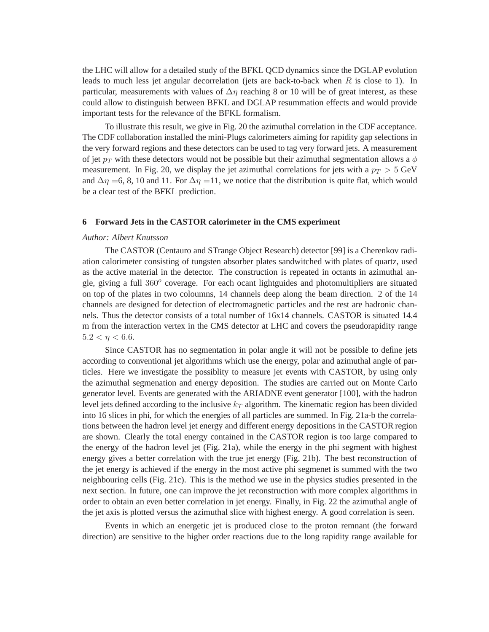the LHC will allow for a detailed study of the BFKL QCD dynamics since the DGLAP evolution leads to much less jet angular decorrelation (jets are back-to-back when  $R$  is close to 1). In particular, measurements with values of  $\Delta \eta$  reaching 8 or 10 will be of great interest, as these could allow to distinguish between BFKL and DGLAP resummation effects and would provide important tests for the relevance of the BFKL formalism.

To illustrate this result, we give in Fig. 20 the azimuthal correlation in the CDF acceptance. The CDF collaboration installed the mini-Plugs calorimeters aiming for rapidity gap selections in the very forward regions and these detectors can be used to tag very forward jets. A measurement of jet  $p_T$  with these detectors would not be possible but their azimuthal segmentation allows a  $\phi$ measurement. In Fig. 20, we display the jet azimuthal correlations for jets with a  $p_T > 5$  GeV and  $\Delta \eta = 6, 8, 10$  and 11. For  $\Delta \eta = 11$ , we notice that the distribution is quite flat, which would be a clear test of the BFKL prediction.

## **6 Forward Jets in the CASTOR calorimeter in the CMS experiment**

## *Author: Albert Knutsson*

The CASTOR (Centauro and STrange Object Research) detector [99] is a Cherenkov radiation calorimeter consisting of tungsten absorber plates sandwitched with plates of quartz, used as the active material in the detector. The construction is repeated in octants in azimuthal angle, giving a full 360° coverage. For each ocant lightguides and photomultipliers are situated on top of the plates in two coloumns, 14 channels deep along the beam direction. 2 of the 14 channels are designed for detection of electromagnetic particles and the rest are hadronic channels. Thus the detector consists of a total number of 16x14 channels. CASTOR is situated 14.4 m from the interaction vertex in the CMS detector at LHC and covers the pseudorapidity range  $5.2 < \eta < 6.6$ .

Since CASTOR has no segmentation in polar angle it will not be possible to define jets according to conventional jet algorithms which use the energy, polar and azimuthal angle of particles. Here we investigate the possiblity to measure jet events with CASTOR, by using only the azimuthal segmenation and energy deposition. The studies are carried out on Monte Carlo generator level. Events are generated with the ARIADNE event generator [100], with the hadron level jets defined according to the inclusive  $k_T$  algorithm. The kinematic region has been divided into 16 slices in phi, for which the energies of all particles are summed. In Fig. 21a-b the correlations between the hadron level jet energy and different energy depositions in the CASTOR region are shown. Clearly the total energy contained in the CASTOR region is too large compared to the energy of the hadron level jet (Fig. 21a), while the energy in the phi segment with highest energy gives a better correlation with the true jet energy (Fig. 21b). The best reconstruction of the jet energy is achieved if the energy in the most active phi segmenet is summed with the two neighbouring cells (Fig. 21c). This is the method we use in the physics studies presented in the next section. In future, one can improve the jet reconstruction with more complex algorithms in order to obtain an even better correlation in jet energy. Finally, in Fig. 22 the azimuthal angle of the jet axis is plotted versus the azimuthal slice with highest energy. A good correlation is seen.

Events in which an energetic jet is produced close to the proton remnant (the forward direction) are sensitive to the higher order reactions due to the long rapidity range available for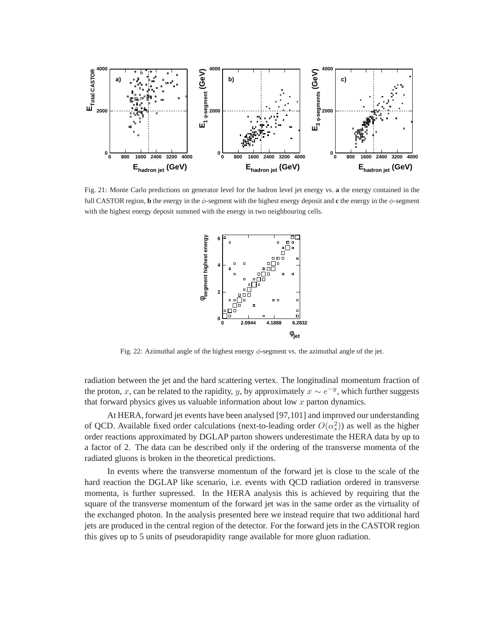

Fig. 21: Monte Carlo predictions on generator level for the hadron level jet energy vs. **a** the energy contained in the full CASTOR region, **b** the energy in the  $\phi$ -segment with the highest energy deposit and **c** the energy in the  $\phi$ -segment with the highest energy deposit summed with the energy in two neighbouring cells.



Fig. 22: Azimuthal angle of the highest energy  $\phi$ -segment vs. the azimuthal angle of the jet.

radiation between the jet and the hard scattering vertex. The longitudinal momentum fraction of the proton, x, can be related to the rapidity, y, by approximately  $x \sim e^{-y}$ , which further suggests that forward physics gives us valuable information about low  $x$  parton dynamics.

At HERA, forward jet events have been analysed [97,101] and improved our understanding of QCD. Available fixed order calculations (next-to-leading order  $O(\alpha_s^2)$ ) as well as the higher order reactions approximated by DGLAP parton showers underestimate the HERA data by up to a factor of 2. The data can be described only if the ordering of the transverse momenta of the radiated gluons is broken in the theoretical predictions.

In events where the transverse momentum of the forward jet is close to the scale of the hard reaction the DGLAP like scenario, i.e. events with QCD radiation ordered in transverse momenta, is further supressed. In the HERA analysis this is achieved by requiring that the square of the transverse momentum of the forward jet was in the same order as the virtuality of the exchanged photon. In the analysis presented here we instead require that two additional hard jets are produced in the central region of the detector. For the forward jets in the CASTOR region this gives up to 5 units of pseudorapidity range available for more gluon radiation.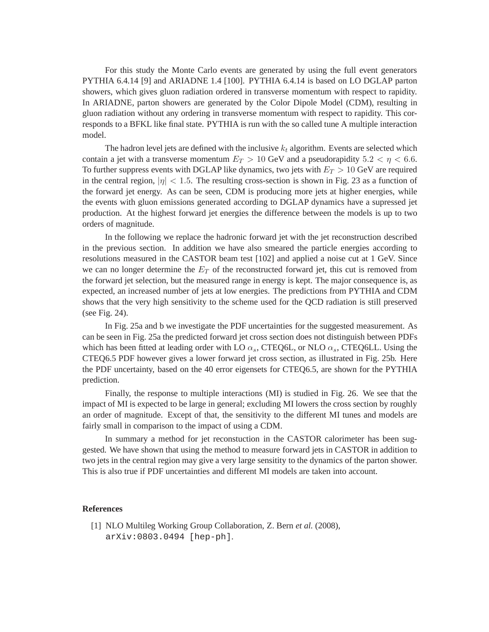For this study the Monte Carlo events are generated by using the full event generators PYTHIA 6.4.14 [9] and ARIADNE 1.4 [100]. PYTHIA 6.4.14 is based on LO DGLAP parton showers, which gives gluon radiation ordered in transverse momentum with respect to rapidity. In ARIADNE, parton showers are generated by the Color Dipole Model (CDM), resulting in gluon radiation without any ordering in transverse momentum with respect to rapidity. This corresponds to a BFKL like final state. PYTHIA is run with the so called tune A multiple interaction model.

The hadron level jets are defined with the inclusive  $k_t$  algorithm. Events are selected which contain a jet with a transverse momentum  $E_T > 10$  GeV and a pseudorapidity  $5.2 < \eta < 6.6$ . To further suppress events with DGLAP like dynamics, two jets with  $E_T > 10$  GeV are required in the central region,  $|\eta| < 1.5$ . The resulting cross-section is shown in Fig. 23 as a function of the forward jet energy. As can be seen, CDM is producing more jets at higher energies, while the events with gluon emissions generated according to DGLAP dynamics have a supressed jet production. At the highest forward jet energies the difference between the models is up to two orders of magnitude.

In the following we replace the hadronic forward jet with the jet reconstruction described in the previous section. In addition we have also smeared the particle energies according to resolutions measured in the CASTOR beam test [102] and applied a noise cut at 1 GeV. Since we can no longer determine the  $E_T$  of the reconstructed forward jet, this cut is removed from the forward jet selection, but the measured range in energy is kept. The major consequence is, as expected, an increased number of jets at low energies. The predictions from PYTHIA and CDM shows that the very high sensitivity to the scheme used for the QCD radiation is still preserved (see Fig. 24).

In Fig. 25a and b we investigate the PDF uncertainties for the suggested measurement. As can be seen in Fig. 25a the predicted forward jet cross section does not distinguish between PDFs which has been fitted at leading order with LO  $\alpha_s$ , CTEQ6L, or NLO  $\alpha_s$ , CTEQ6LL. Using the CTEQ6.5 PDF however gives a lower forward jet cross section, as illustrated in Fig. 25b. Here the PDF uncertainty, based on the 40 error eigensets for CTEQ6.5, are shown for the PYTHIA prediction.

Finally, the response to multiple interactions (MI) is studied in Fig. 26. We see that the impact of MI is expected to be large in general; excluding MI lowers the cross section by roughly an order of magnitude. Except of that, the sensitivity to the different MI tunes and models are fairly small in comparison to the impact of using a CDM.

In summary a method for jet reconstuction in the CASTOR calorimeter has been suggested. We have shown that using the method to measure forward jets in CASTOR in addition to two jets in the central region may give a very large sensitity to the dynamics of the parton shower. This is also true if PDF uncertainties and different MI models are taken into account.

## **References**

[1] NLO Multileg Working Group Collaboration, Z. Bern *et al.* (2008), arXiv:0803.0494 [hep-ph].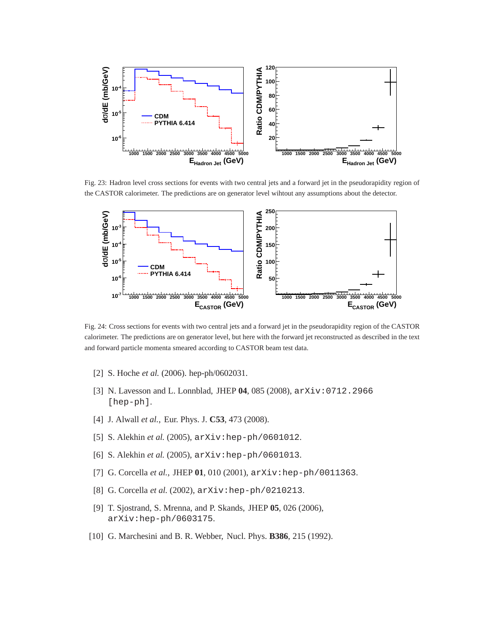

Fig. 23: Hadron level cross sections for events with two central jets and a forward jet in the pseudorapidity region of the CASTOR calorimeter. The predictions are on generator level wihtout any assumptions about the detector.



Fig. 24: Cross sections for events with two central jets and a forward jet in the pseudorapidity region of the CASTOR calorimeter. The predictions are on generator level, but here with the forward jet reconstructed as described in the text and forward particle momenta smeared according to CASTOR beam test data.

- [2] S. Hoche *et al.* (2006). hep-ph/0602031.
- [3] N. Lavesson and L. Lonnblad, JHEP **04**, 085 (2008), arXiv:0712.2966 [hep-ph].
- [4] J. Alwall *et al.*, Eur. Phys. J. **C53**, 473 (2008).
- [5] S. Alekhin *et al.* (2005), arXiv:hep-ph/0601012.
- [6] S. Alekhin *et al.* (2005), arXiv:hep-ph/0601013.
- [7] G. Corcella *et al.*, JHEP **01**, 010 (2001), arXiv:hep-ph/0011363.
- [8] G. Corcella *et al.* (2002), arXiv:hep-ph/0210213.
- [9] T. Sjostrand, S. Mrenna, and P. Skands, JHEP **05**, 026 (2006), arXiv:hep-ph/0603175.
- [10] G. Marchesini and B. R. Webber, Nucl. Phys. **B386**, 215 (1992).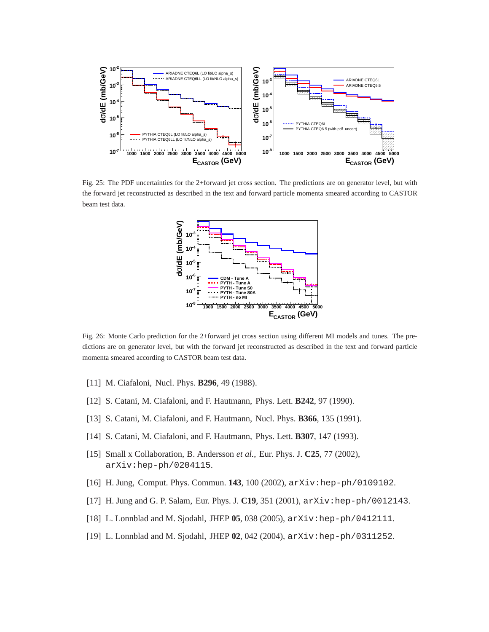

Fig. 25: The PDF uncertainties for the 2+forward jet cross section. The predictions are on generator level, but with the forward jet reconstructed as described in the text and forward particle momenta smeared according to CASTOR beam test data.



Fig. 26: Monte Carlo prediction for the 2+forward jet cross section using different MI models and tunes. The predictions are on generator level, but with the forward jet reconstructed as described in the text and forward particle momenta smeared according to CASTOR beam test data.

- [11] M. Ciafaloni, Nucl. Phys. **B296**, 49 (1988).
- [12] S. Catani, M. Ciafaloni, and F. Hautmann, Phys. Lett. **B242**, 97 (1990).
- [13] S. Catani, M. Ciafaloni, and F. Hautmann, Nucl. Phys. **B366**, 135 (1991).
- [14] S. Catani, M. Ciafaloni, and F. Hautmann, Phys. Lett. **B307**, 147 (1993).
- [15] Small x Collaboration, B. Andersson *et al.*, Eur. Phys. J. **C25**, 77 (2002), arXiv:hep-ph/0204115.
- [16] H. Jung, Comput. Phys. Commun. **143**, 100 (2002), arXiv:hep-ph/0109102.
- [17] H. Jung and G. P. Salam, Eur. Phys. J. **C19**, 351 (2001),  $arXiv:hep-ph/0012143$ .
- [18] L. Lonnblad and M. Sjodahl, JHEP **05**, 038 (2005), arXiv:hep-ph/0412111.
- [19] L. Lonnblad and M. Sjodahl, JHEP **02**, 042 (2004), arXiv:hep-ph/0311252.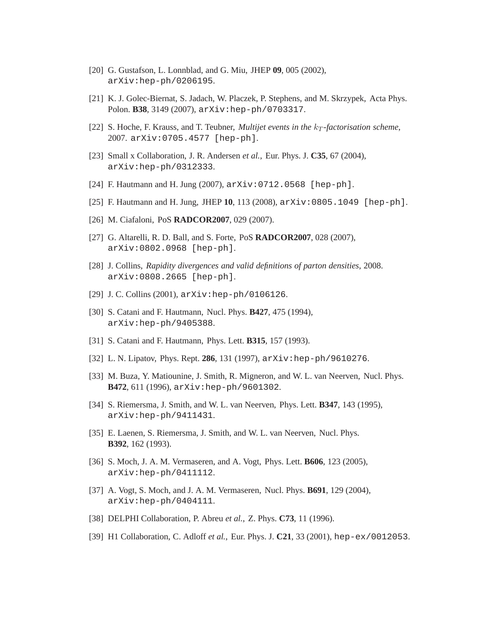- [20] G. Gustafson, L. Lonnblad, and G. Miu, JHEP **09**, 005 (2002), arXiv:hep-ph/0206195.
- [21] K. J. Golec-Biernat, S. Jadach, W. Placzek, P. Stephens, and M. Skrzypek, Acta Phys. Polon. **B38**, 3149 (2007), arXiv:hep-ph/0703317.
- [22] S. Hoche, F. Krauss, and T. Teubner, *Multijet events in the k<sub>T</sub>*-factorisation scheme, 2007. arXiv:0705.4577 [hep-ph].
- [23] Small x Collaboration, J. R. Andersen *et al.*, Eur. Phys. J. **C35**, 67 (2004), arXiv:hep-ph/0312333.
- [24] F. Hautmann and H. Jung (2007), arXiv:0712.0568 [hep-ph].
- [25] F. Hautmann and H. Jung, JHEP **10**, 113 (2008), arXiv:0805.1049 [hep-ph].
- [26] M. Ciafaloni, PoS **RADCOR2007**, 029 (2007).
- [27] G. Altarelli, R. D. Ball, and S. Forte, PoS **RADCOR2007**, 028 (2007), arXiv:0802.0968 [hep-ph].
- [28] J. Collins, *Rapidity divergences and valid definitions of parton densities*, 2008. arXiv:0808.2665 [hep-ph].
- [29] J.C. Collins (2001),  $arXiv:hep-ph/0106126$ .
- [30] S. Catani and F. Hautmann, Nucl. Phys. **B427**, 475 (1994), arXiv:hep-ph/9405388.
- [31] S. Catani and F. Hautmann, Phys. Lett. **B315**, 157 (1993).
- [32] L. N. Lipatov, Phys. Rept. **286**, 131 (1997), arXiv:hep-ph/9610276.
- [33] M. Buza, Y. Matiounine, J. Smith, R. Migneron, and W. L. van Neerven, Nucl. Phys. **B472**, 611 (1996), arXiv:hep-ph/9601302.
- [34] S. Riemersma, J. Smith, and W. L. van Neerven, Phys. Lett. **B347**, 143 (1995), arXiv:hep-ph/9411431.
- [35] E. Laenen, S. Riemersma, J. Smith, and W. L. van Neerven, Nucl. Phys. **B392**, 162 (1993).
- [36] S. Moch, J. A. M. Vermaseren, and A. Vogt, Phys. Lett. **B606**, 123 (2005), arXiv:hep-ph/0411112.
- [37] A. Vogt, S. Moch, and J. A. M. Vermaseren, Nucl. Phys. **B691**, 129 (2004), arXiv:hep-ph/0404111.
- [38] DELPHI Collaboration, P. Abreu *et al.*, Z. Phys. **C73**, 11 (1996).
- [39] H1 Collaboration, C. Adloff *et al.*, Eur. Phys. J. **C21**, 33 (2001), hep-ex/0012053.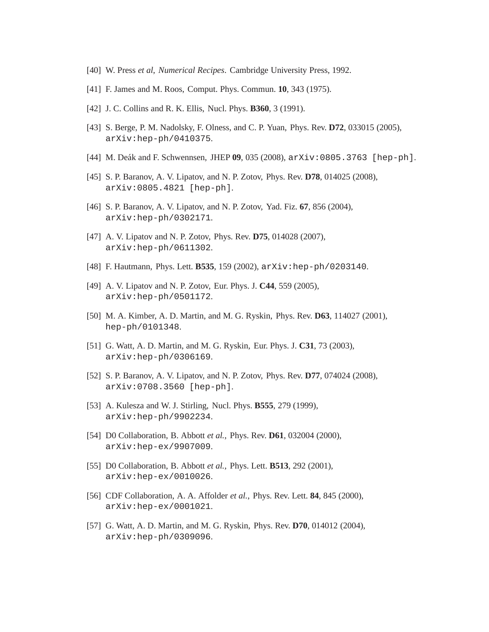- [40] W. Press *et al*, *Numerical Recipes*. Cambridge University Press, 1992.
- [41] F. James and M. Roos, Comput. Phys. Commun. **10**, 343 (1975).
- [42] J. C. Collins and R. K. Ellis, Nucl. Phys. **B360**, 3 (1991).
- [43] S. Berge, P. M. Nadolsky, F. Olness, and C. P. Yuan, Phys. Rev. **D72**, 033015 (2005), arXiv:hep-ph/0410375.
- [44] M. Deák and F. Schwennsen, JHEP 09, 035 (2008), arXiv:0805.3763 [hep-ph].
- [45] S. P. Baranov, A. V. Lipatov, and N. P. Zotov, Phys. Rev. **D78**, 014025 (2008), arXiv:0805.4821 [hep-ph].
- [46] S. P. Baranov, A. V. Lipatov, and N. P. Zotov, Yad. Fiz. **67**, 856 (2004), arXiv:hep-ph/0302171.
- [47] A. V. Lipatov and N. P. Zotov, Phys. Rev. **D75**, 014028 (2007), arXiv:hep-ph/0611302.
- [48] F. Hautmann, Phys. Lett. **B535**, 159 (2002), arXiv:hep-ph/0203140.
- [49] A. V. Lipatov and N. P. Zotov, Eur. Phys. J. **C44**, 559 (2005), arXiv:hep-ph/0501172.
- [50] M. A. Kimber, A. D. Martin, and M. G. Ryskin, Phys. Rev. **D63**, 114027 (2001), hep-ph/0101348.
- [51] G. Watt, A. D. Martin, and M. G. Ryskin, Eur. Phys. J. **C31**, 73 (2003), arXiv:hep-ph/0306169.
- [52] S. P. Baranov, A. V. Lipatov, and N. P. Zotov, Phys. Rev. **D77**, 074024 (2008), arXiv:0708.3560 [hep-ph].
- [53] A. Kulesza and W. J. Stirling, Nucl. Phys. **B555**, 279 (1999), arXiv:hep-ph/9902234.
- [54] D0 Collaboration, B. Abbott *et al.*, Phys. Rev. **D61**, 032004 (2000), arXiv:hep-ex/9907009.
- [55] D0 Collaboration, B. Abbott *et al.*, Phys. Lett. **B513**, 292 (2001), arXiv:hep-ex/0010026.
- [56] CDF Collaboration, A. A. Affolder *et al.*, Phys. Rev. Lett. **84**, 845 (2000), arXiv:hep-ex/0001021.
- [57] G. Watt, A. D. Martin, and M. G. Ryskin, Phys. Rev. **D70**, 014012 (2004), arXiv:hep-ph/0309096.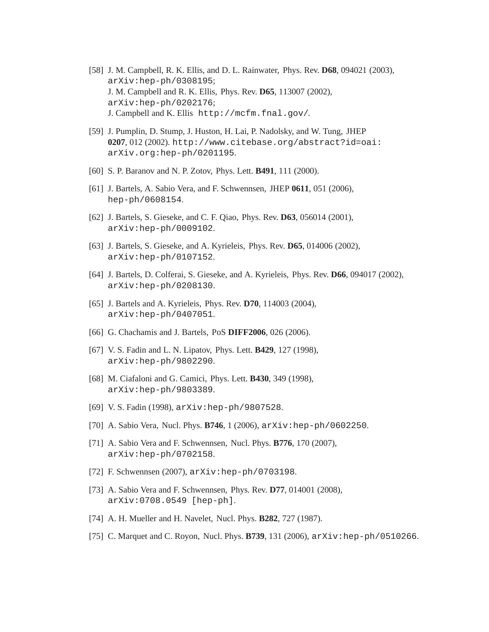- [58] J. M. Campbell, R. K. Ellis, and D. L. Rainwater, Phys. Rev. **D68**, 094021 (2003), arXiv:hep-ph/0308195; J. M. Campbell and R. K. Ellis, Phys. Rev. **D65**, 113007 (2002), arXiv:hep-ph/0202176; J. Campbell and K. Ellis http://mcfm.fnal.gov/.
- [59] J. Pumplin, D. Stump, J. Huston, H. Lai, P. Nadolsky, and W. Tung, JHEP **0207**, 012 (2002). http://www.citebase.org/abstract?id=oai: arXiv.org:hep-ph/0201195.
- [60] S. P. Baranov and N. P. Zotov, Phys. Lett. **B491**, 111 (2000).
- [61] J. Bartels, A. Sabio Vera, and F. Schwennsen, JHEP **0611**, 051 (2006), hep-ph/0608154.
- [62] J. Bartels, S. Gieseke, and C. F. Qiao, Phys. Rev. **D63**, 056014 (2001), arXiv:hep-ph/0009102.
- [63] J. Bartels, S. Gieseke, and A. Kyrieleis, Phys. Rev. **D65**, 014006 (2002), arXiv:hep-ph/0107152.
- [64] J. Bartels, D. Colferai, S. Gieseke, and A. Kyrieleis, Phys. Rev. **D66**, 094017 (2002), arXiv:hep-ph/0208130.
- [65] J. Bartels and A. Kyrieleis, Phys. Rev. **D70**, 114003 (2004), arXiv:hep-ph/0407051.
- [66] G. Chachamis and J. Bartels, PoS **DIFF2006**, 026 (2006).
- [67] V. S. Fadin and L. N. Lipatov, Phys. Lett. **B429**, 127 (1998), arXiv:hep-ph/9802290.
- [68] M. Ciafaloni and G. Camici, Phys. Lett. **B430**, 349 (1998), arXiv:hep-ph/9803389.
- [69] V. S. Fadin (1998), arXiv:hep-ph/9807528.
- [70] A. Sabio Vera, Nucl. Phys. **B746**, 1 (2006), arXiv:hep-ph/0602250.
- [71] A. Sabio Vera and F. Schwennsen, Nucl. Phys. **B776**, 170 (2007), arXiv:hep-ph/0702158.
- [72] F. Schwennsen (2007), arXiv: hep-ph/0703198.
- [73] A. Sabio Vera and F. Schwennsen, Phys. Rev. **D77**, 014001 (2008), arXiv:0708.0549 [hep-ph].
- [74] A. H. Mueller and H. Navelet, Nucl. Phys. **B282**, 727 (1987).
- [75] C. Marquet and C. Royon, Nucl. Phys. **B739**, 131 (2006), arXiv:hep-ph/0510266.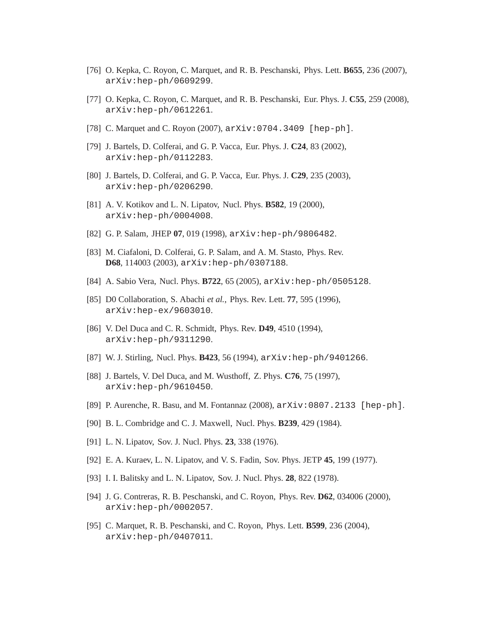- [76] O. Kepka, C. Royon, C. Marquet, and R. B. Peschanski, Phys. Lett. **B655**, 236 (2007), arXiv:hep-ph/0609299.
- [77] O. Kepka, C. Royon, C. Marquet, and R. B. Peschanski, Eur. Phys. J. **C55**, 259 (2008), arXiv:hep-ph/0612261.
- [78] C. Marquet and C. Royon  $(2007)$ ,  $arXiv:0704.3409$  [hep-ph].
- [79] J. Bartels, D. Colferai, and G. P. Vacca, Eur. Phys. J. **C24**, 83 (2002), arXiv:hep-ph/0112283.
- [80] J. Bartels, D. Colferai, and G. P. Vacca, Eur. Phys. J. **C29**, 235 (2003), arXiv:hep-ph/0206290.
- [81] A. V. Kotikov and L. N. Lipatov, Nucl. Phys. **B582**, 19 (2000), arXiv:hep-ph/0004008.
- [82] G. P. Salam, JHEP **07**, 019 (1998), arXiv:hep-ph/9806482.
- [83] M. Ciafaloni, D. Colferai, G. P. Salam, and A. M. Stasto, Phys. Rev. **D68**, 114003 (2003), arXiv:hep-ph/0307188.
- [84] A. Sabio Vera, Nucl. Phys. **B722**, 65 (2005), arXiv:hep-ph/0505128.
- [85] D0 Collaboration, S. Abachi *et al.*, Phys. Rev. Lett. **77**, 595 (1996), arXiv:hep-ex/9603010.
- [86] V. Del Duca and C. R. Schmidt, Phys. Rev. **D49**, 4510 (1994), arXiv:hep-ph/9311290.
- [87] W. J. Stirling, Nucl. Phys. **B423**, 56 (1994), arXiv:hep-ph/9401266.
- [88] J. Bartels, V. Del Duca, and M. Wusthoff, Z. Phys. **C76**, 75 (1997), arXiv:hep-ph/9610450.
- [89] P. Aurenche, R. Basu, and M. Fontannaz (2008), arXiv:0807.2133 [hep-ph].
- [90] B. L. Combridge and C. J. Maxwell, Nucl. Phys. **B239**, 429 (1984).
- [91] L. N. Lipatov, Sov. J. Nucl. Phys. **23**, 338 (1976).
- [92] E. A. Kuraev, L. N. Lipatov, and V. S. Fadin, Sov. Phys. JETP **45**, 199 (1977).
- [93] I. I. Balitsky and L. N. Lipatov, Sov. J. Nucl. Phys. **28**, 822 (1978).
- [94] J. G. Contreras, R. B. Peschanski, and C. Royon, Phys. Rev. **D62**, 034006 (2000), arXiv:hep-ph/0002057.
- [95] C. Marquet, R. B. Peschanski, and C. Royon, Phys. Lett. **B599**, 236 (2004), arXiv:hep-ph/0407011.